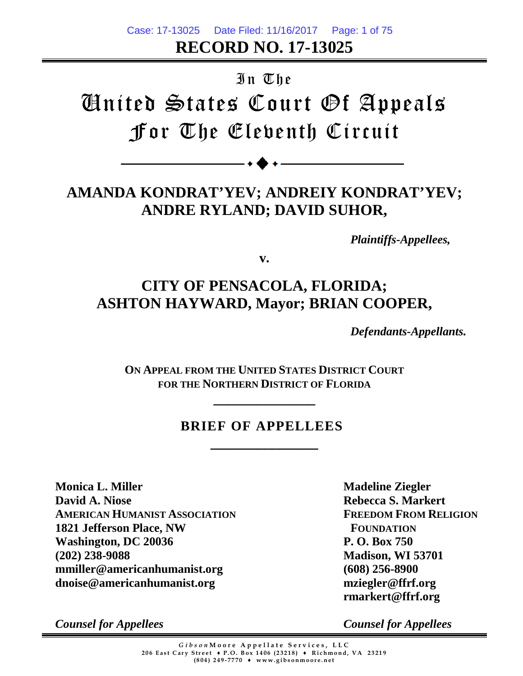**RECORD NO. 17-13025** Case: 17-13025 Date Filed: 11/16/2017 Page: 1 of 75

# In The

# United States Court Of Appeals For The Eleventh Circuit

# **AMANDA KONDRAT'YEV; ANDREIY KONDRAT'YEV; ANDRE RYLAND; DAVID SUHOR,**

*Plaintiffs-Appellees,*

**v.**

# **CITY OF PENSACOLA, FLORIDA; ASHTON HAYWARD, Mayor; BRIAN COOPER,**

*Defendants-Appellants.*

**ON APPEAL FROM THE UNITED STATES DISTRICT COURT FOR THE NORTHERN DISTRICT OF FLORIDA**

**\_\_\_\_\_\_\_\_\_\_\_\_\_\_**

# **BRIEF OF APPELLEES**

**\_\_\_\_\_\_\_\_\_\_\_\_\_\_**

**Monica L. Miller David A. Niose AMERICAN HUMANIST ASSOCIATION 1821 Jefferson Place, NW Washington, DC 20036 (202) 238-9088 mmiller@americanhumanist.org dnoise@americanhumanist.org**

**Madeline Ziegler Rebecca S. Markert FREEDOM FROM RELIGION FOUNDATION P. O. Box 750 Madison, WI 53701 (608) 256-8900 mziegler@ffrf.org rmarkert@ffrf.org**

*Counsel for Appellees*

*Counsel for Appellees*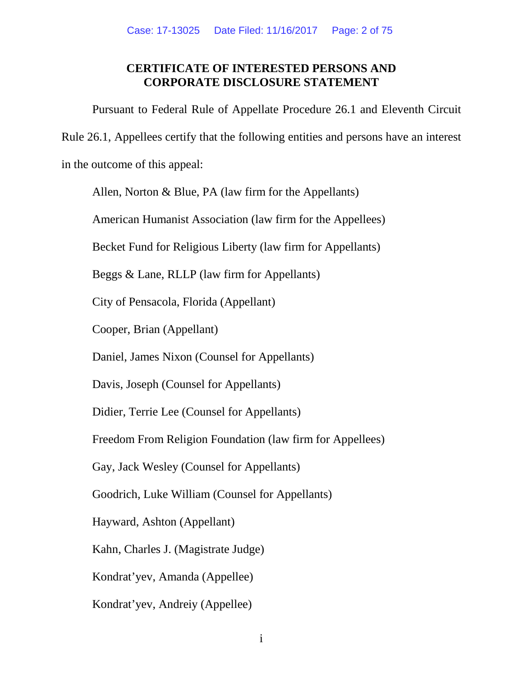## **CERTIFICATE OF INTERESTED PERSONS AND CORPORATE DISCLOSURE STATEMENT**

<span id="page-1-1"></span><span id="page-1-0"></span>Pursuant to Federal Rule of Appellate Procedure 26.1 and Eleventh Circuit Rule 26.1, Appellees certify that the following entities and persons have an interest in the outcome of this appeal:

Allen, Norton & Blue, PA (law firm for the Appellants)

American Humanist Association (law firm for the Appellees)

Becket Fund for Religious Liberty (law firm for Appellants)

Beggs & Lane, RLLP (law firm for Appellants)

City of Pensacola, Florida (Appellant)

Cooper, Brian (Appellant)

Daniel, James Nixon (Counsel for Appellants)

Davis, Joseph (Counsel for Appellants)

Didier, Terrie Lee (Counsel for Appellants)

Freedom From Religion Foundation (law firm for Appellees)

Gay, Jack Wesley (Counsel for Appellants)

Goodrich, Luke William (Counsel for Appellants)

Hayward, Ashton (Appellant)

Kahn, Charles J. (Magistrate Judge)

Kondrat'yev, Amanda (Appellee)

Kondrat'yev, Andreiy (Appellee)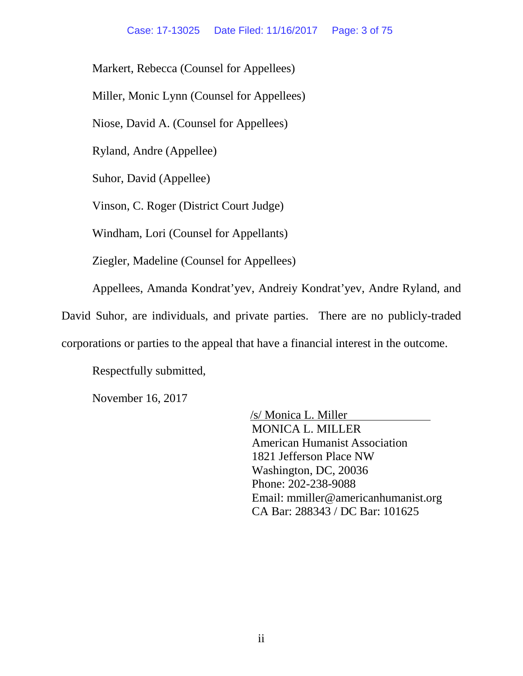Markert, Rebecca (Counsel for Appellees)

Miller, Monic Lynn (Counsel for Appellees)

Niose, David A. (Counsel for Appellees)

Ryland, Andre (Appellee)

Suhor, David (Appellee)

Vinson, C. Roger (District Court Judge)

Windham, Lori (Counsel for Appellants)

Ziegler, Madeline (Counsel for Appellees)

Appellees, Amanda Kondrat'yev, Andreiy Kondrat'yev, Andre Ryland, and

David Suhor, are individuals, and private parties. There are no publicly-traded

corporations or parties to the appeal that have a financial interest in the outcome.

Respectfully submitted,

November 16, 2017

/s/ Monica L. Miller MONICA L. MILLER American Humanist Association 1821 Jefferson Place NW Washington, DC, 20036 Phone: 202-238-9088 Email: mmiller@americanhumanist.org CA Bar: 288343 / DC Bar: 101625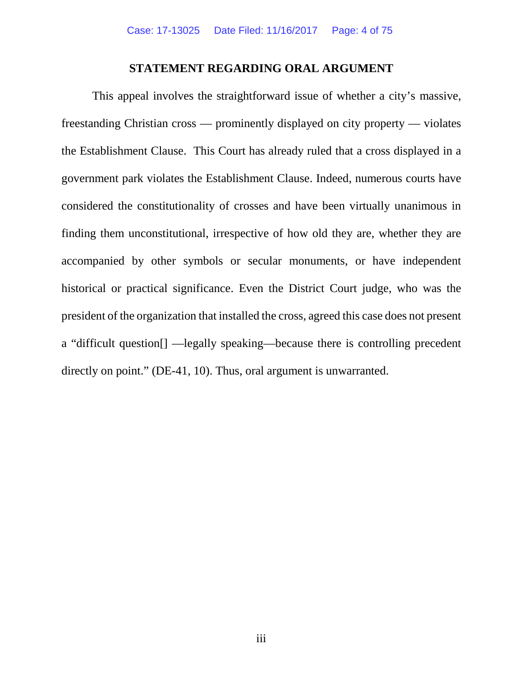#### **STATEMENT REGARDING ORAL ARGUMENT**

<span id="page-3-0"></span>This appeal involves the straightforward issue of whether a city's massive, freestanding Christian cross — prominently displayed on city property — violates the Establishment Clause. This Court has already ruled that a cross displayed in a government park violates the Establishment Clause. Indeed, numerous courts have considered the constitutionality of crosses and have been virtually unanimous in finding them unconstitutional, irrespective of how old they are, whether they are accompanied by other symbols or secular monuments, or have independent historical or practical significance. Even the District Court judge, who was the president of the organization that installed the cross, agreed this case does not present a "difficult question[] —legally speaking—because there is controlling precedent directly on point." (DE-41, 10). Thus, oral argument is unwarranted.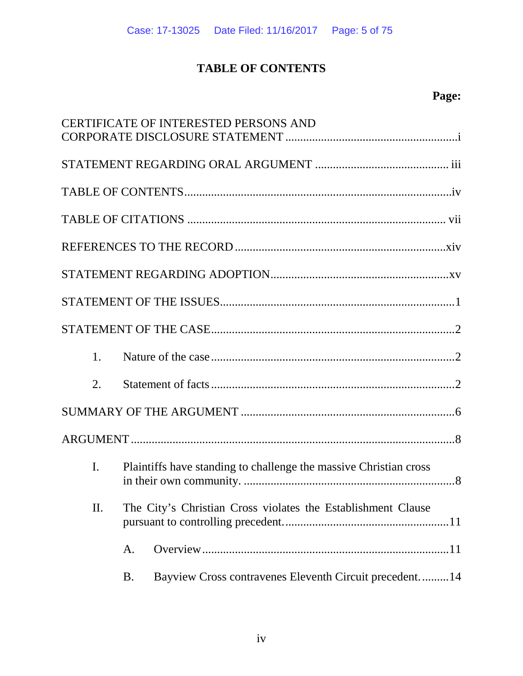# **TABLE OF CONTENTS**

# **Page:**

<span id="page-4-0"></span>

|                |           | <b>CERTIFICATE OF INTERESTED PERSONS AND</b>                      |
|----------------|-----------|-------------------------------------------------------------------|
|                |           |                                                                   |
|                |           |                                                                   |
|                |           |                                                                   |
|                |           |                                                                   |
|                |           |                                                                   |
|                |           |                                                                   |
|                |           |                                                                   |
| 1.             |           |                                                                   |
| 2.             |           |                                                                   |
|                |           |                                                                   |
|                |           |                                                                   |
| $\mathbf{I}$ . |           | Plaintiffs have standing to challenge the massive Christian cross |
| Π.             |           | The City's Christian Cross violates the Establishment Clause      |
|                | A.        |                                                                   |
|                | <b>B.</b> | Bayview Cross contravenes Eleventh Circuit precedent14            |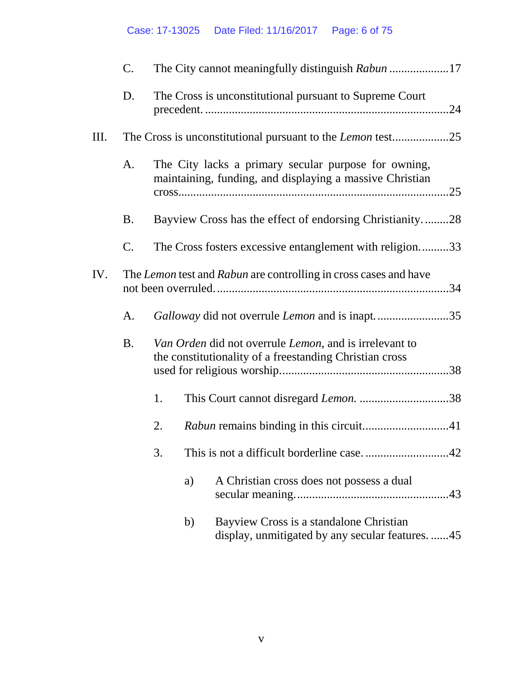|     | $\mathbf{C}$ . |                                                                                                                   |
|-----|----------------|-------------------------------------------------------------------------------------------------------------------|
|     | D.             | The Cross is unconstitutional pursuant to Supreme Court                                                           |
| Ш.  |                |                                                                                                                   |
|     | A.             | The City lacks a primary secular purpose for owning,<br>maintaining, funding, and displaying a massive Christian  |
|     | <b>B.</b>      | Bayview Cross has the effect of endorsing Christianity28                                                          |
|     | C.             | The Cross fosters excessive entanglement with religion33                                                          |
| IV. |                | The Lemon test and Rabun are controlling in cross cases and have                                                  |
|     | A.             | Galloway did not overrule <i>Lemon</i> and is inapt35                                                             |
|     | <b>B.</b>      | Van Orden did not overrule Lemon, and is irrelevant to<br>the constitutionality of a freestanding Christian cross |
|     |                | 1.                                                                                                                |
|     |                | 2.                                                                                                                |
|     |                | 3.                                                                                                                |
|     |                | A Christian cross does not possess a dual<br>a)                                                                   |
|     |                | Bayview Cross is a standalone Christian<br>b)<br>display, unmitigated by any secular features. 45                 |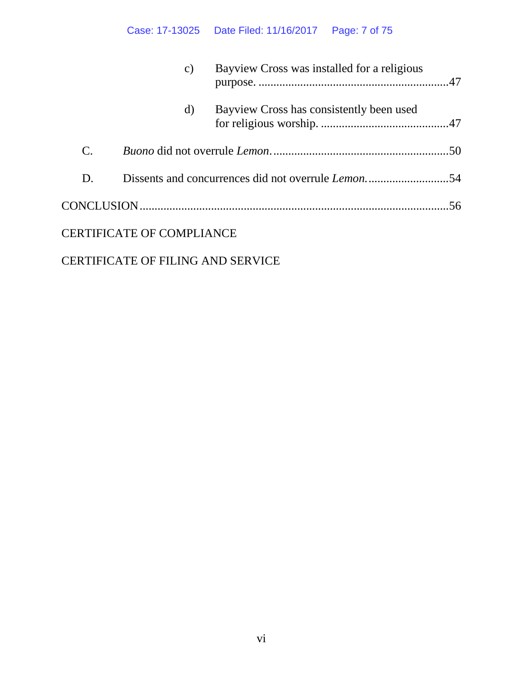# Case: 17-13025 Date Filed: 11/16/2017 Page: 7 of 75

|                | $\mathcal{C}$ )                          | Bayview Cross was installed for a religious |
|----------------|------------------------------------------|---------------------------------------------|
|                | d)                                       | Bayview Cross has consistently been used    |
| $\mathbf{C}$ . |                                          |                                             |
| D.             |                                          |                                             |
|                |                                          |                                             |
|                | <b>CERTIFICATE OF COMPLIANCE</b>         |                                             |
|                | <b>CERTIFICATE OF FILING AND SERVICE</b> |                                             |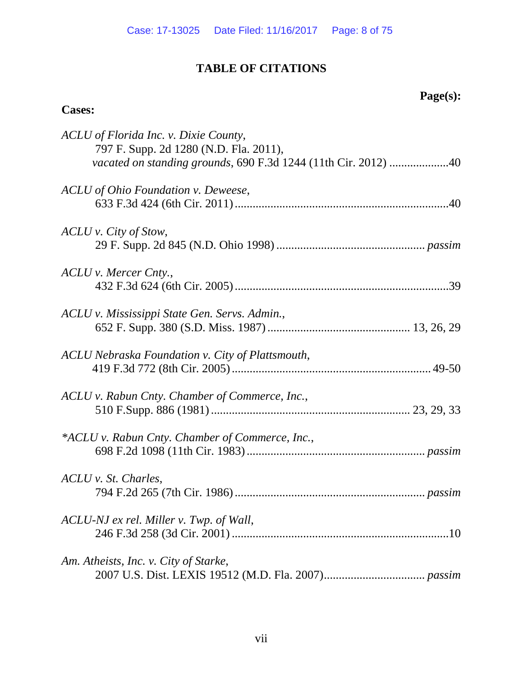# **TABLE OF CITATIONS**

# **Page(s):**

# <span id="page-7-0"></span>**Cases:**

| ACLU of Florida Inc. v. Dixie County,<br>797 F. Supp. 2d 1280 (N.D. Fla. 2011),<br>vacated on standing grounds, 690 F.3d 1244 (11th Cir. 2012) 40 |
|---------------------------------------------------------------------------------------------------------------------------------------------------|
| ACLU of Ohio Foundation v. Deweese,                                                                                                               |
| ACLU v. City of Stow,                                                                                                                             |
| ACLU v. Mercer Cnty.,                                                                                                                             |
| ACLU v. Mississippi State Gen. Servs. Admin.,                                                                                                     |
| ACLU Nebraska Foundation v. City of Plattsmouth,                                                                                                  |
| ACLU v. Rabun Cnty. Chamber of Commerce, Inc.,                                                                                                    |
| *ACLU v. Rabun Cnty. Chamber of Commerce, Inc.,                                                                                                   |
| ACLU v. St. Charles,                                                                                                                              |
| ACLU-NJ ex rel. Miller v. Twp. of Wall,                                                                                                           |
| Am. Atheists, Inc. v. City of Starke,                                                                                                             |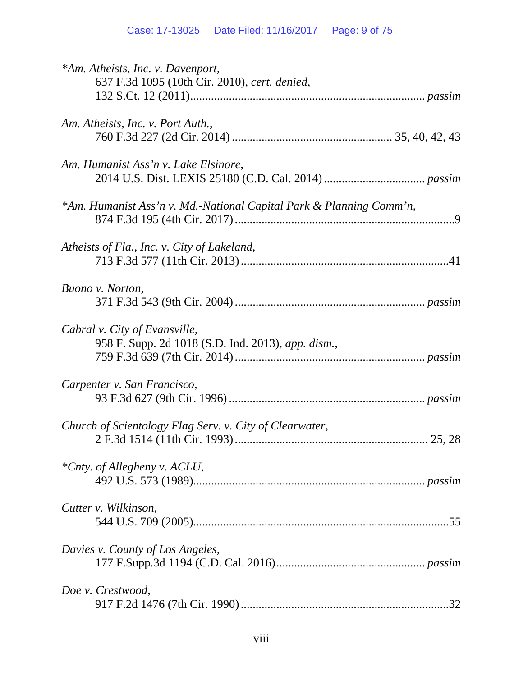| *Am. Atheists, Inc. v. Davenport,<br>637 F.3d 1095 (10th Cir. 2010), cert. denied,  |
|-------------------------------------------------------------------------------------|
| Am. Atheists, Inc. v. Port Auth.,                                                   |
| Am. Humanist Ass'n v. Lake Elsinore,                                                |
| *Am. Humanist Ass'n v. Md.-National Capital Park & Planning Comm'n,                 |
| Atheists of Fla., Inc. v. City of Lakeland,                                         |
| Buono v. Norton,                                                                    |
| Cabral v. City of Evansville,<br>958 F. Supp. 2d 1018 (S.D. Ind. 2013), app. dism., |
| Carpenter v. San Francisco,                                                         |
| Church of Scientology Flag Serv. v. City of Clearwater,                             |
| *Cnty. of Allegheny v. ACLU,                                                        |
| Cutter v. Wilkinson,                                                                |
| Davies v. County of Los Angeles,                                                    |
| Doe v. Crestwood,                                                                   |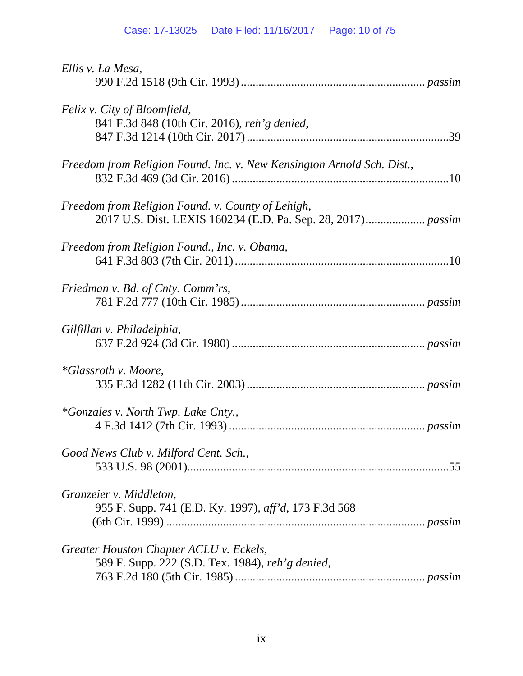| Ellis v. La Mesa,                                                                           |
|---------------------------------------------------------------------------------------------|
| Felix v. City of Bloomfield,<br>841 F.3d 848 (10th Cir. 2016), reh'g denied,                |
| Freedom from Religion Found. Inc. v. New Kensington Arnold Sch. Dist.,                      |
| Freedom from Religion Found. v. County of Lehigh,                                           |
| Freedom from Religion Found., Inc. v. Obama,                                                |
| Friedman v. Bd. of Cnty. Comm'rs,                                                           |
| Gilfillan v. Philadelphia,                                                                  |
| <i>*Glassroth v. Moore,</i>                                                                 |
| <i>*Gonzales v. North Twp. Lake Cnty.,</i>                                                  |
| Good News Club v. Milford Cent. Sch.,                                                       |
| Granzeier v. Middleton,<br>955 F. Supp. 741 (E.D. Ky. 1997), aff'd, 173 F.3d 568            |
| Greater Houston Chapter ACLU v. Eckels,<br>589 F. Supp. 222 (S.D. Tex. 1984), reh'g denied, |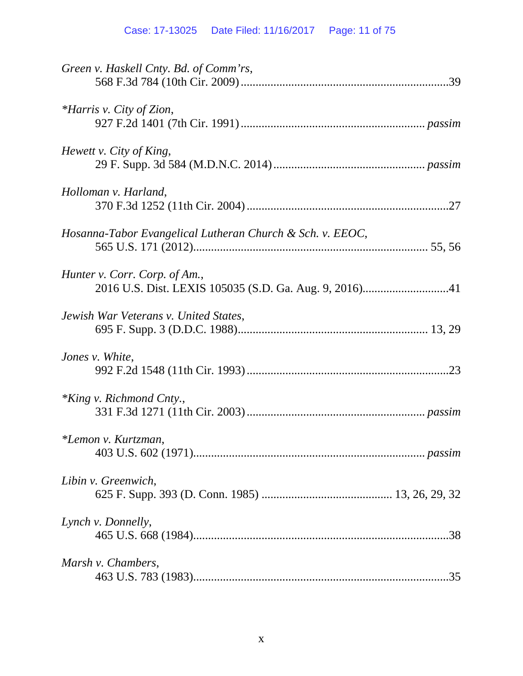| Green v. Haskell Cnty. Bd. of Comm'rs,                    |
|-----------------------------------------------------------|
| *Harris v. City of Zion,                                  |
| Hewett v. City of King,                                   |
| Holloman v. Harland,                                      |
| Hosanna-Tabor Evangelical Lutheran Church & Sch. v. EEOC, |
| Hunter v. Corr. Corp. of Am.,                             |
| Jewish War Veterans v. United States,                     |
| Jones v. White,                                           |
| *King v. Richmond Cnty.,                                  |
| *Lemon v. Kurtzman,                                       |
| Libin v. Greenwich,                                       |
| Lynch v. Donnelly,                                        |
| Marsh v. Chambers,                                        |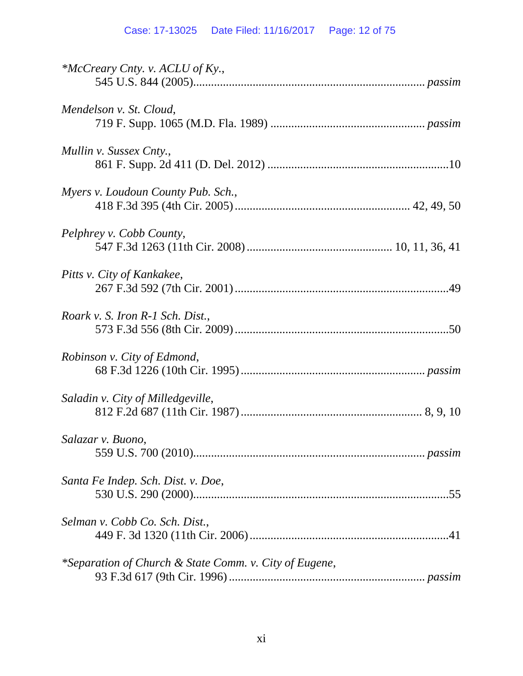| *McCreary Cnty. v. ACLU of Ky.,                        |
|--------------------------------------------------------|
| Mendelson v. St. Cloud,                                |
| Mullin v. Sussex Cnty.,                                |
| Myers v. Loudoun County Pub. Sch.,                     |
| Pelphrey v. Cobb County,                               |
| Pitts v. City of Kankakee,                             |
| Roark v. S. Iron R-1 Sch. Dist.,                       |
| Robinson v. City of Edmond,                            |
| Saladin v. City of Milledgeville,                      |
| Salazar v. Buono,                                      |
| Santa Fe Indep. Sch. Dist. v. Doe,                     |
| Selman v. Cobb Co. Sch. Dist.,                         |
| *Separation of Church & State Comm. v. City of Eugene, |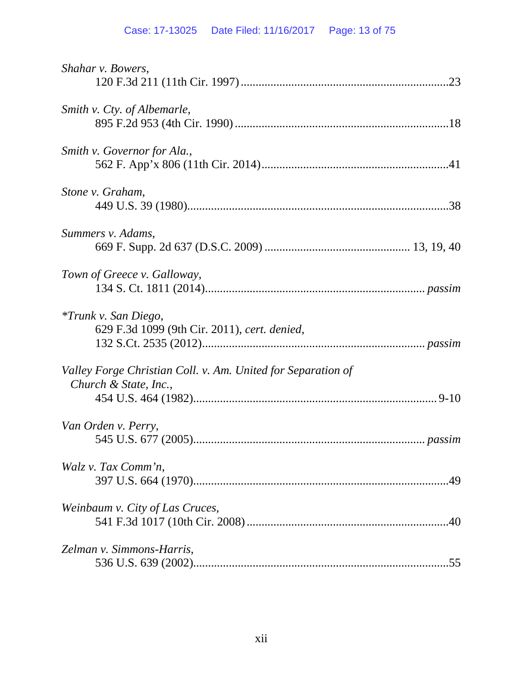# Case: 17-13025 Date Filed: 11/16/2017 Page: 13 of 75

| Shahar v. Bowers,                                                                     |
|---------------------------------------------------------------------------------------|
| Smith v. Cty. of Albemarle,                                                           |
| Smith v. Governor for Ala.,                                                           |
| Stone v. Graham,                                                                      |
| Summers v. Adams,                                                                     |
| Town of Greece v. Galloway,                                                           |
| <i>*Trunk v. San Diego,</i><br>629 F.3d 1099 (9th Cir. 2011), cert. denied,           |
| Valley Forge Christian Coll. v. Am. United for Separation of<br>Church & State, Inc., |
| Van Orden v. Perry,                                                                   |
| Walz v. Tax Comm'n,                                                                   |
| Weinbaum v. City of Las Cruces,                                                       |
| Zelman v. Simmons-Harris,<br>.55                                                      |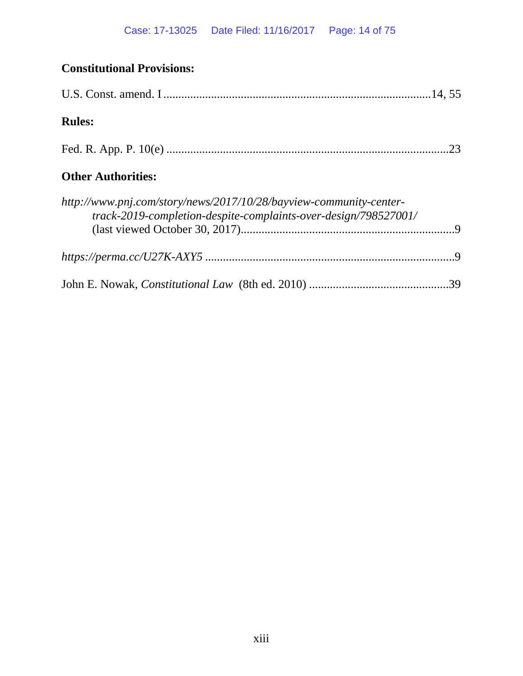# **Constitutional Provisions:** U.S. Const. amend. I..........................................................................................14, 55 **Rules:** Fed. R. App. P. 10(e) ...............................................................................................23 **Other Authorities:** *http://www.pnj.com/story/news/2017/10/28/bayview-community-centertrack-2019-completion-despite-complaints-over-design/798527001/* (last viewed October 30, 2017)........................................................................9 *https://perma.cc/U27K-AXY5* ....................................................................................9 John E. Nowak, *Constitutional Law* (8th ed. 2010) ...............................................39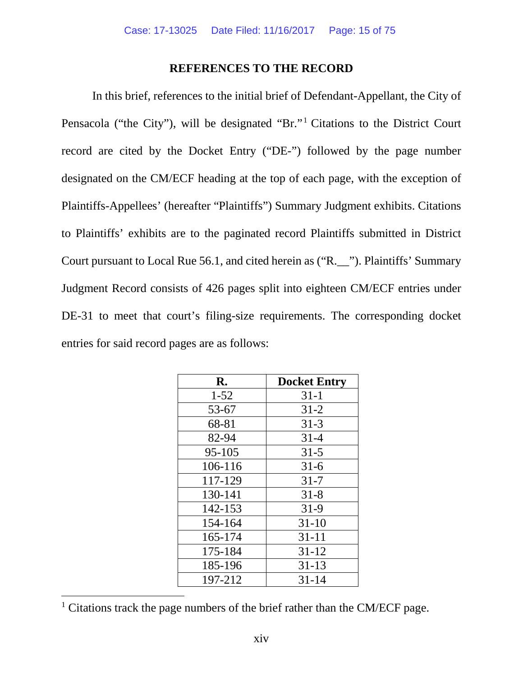### **REFERENCES TO THE RECORD**

<span id="page-14-0"></span>In this brief, references to the initial brief of Defendant-Appellant, the City of Pensacola ("the City"), will be designated "Br."<sup>[1](#page-14-1)</sup> Citations to the District Court record are cited by the Docket Entry ("DE-") followed by the page number designated on the CM/ECF heading at the top of each page, with the exception of Plaintiffs-Appellees' (hereafter "Plaintiffs") Summary Judgment exhibits. Citations to Plaintiffs' exhibits are to the paginated record Plaintiffs submitted in District Court pursuant to Local Rue 56.1, and cited herein as ("R.\_\_"). Plaintiffs' Summary Judgment Record consists of 426 pages split into eighteen CM/ECF entries under DE-31 to meet that court's filing-size requirements. The corresponding docket entries for said record pages are as follows:

| $\mathbf{R}$ . | <b>Docket Entry</b> |
|----------------|---------------------|
| $1 - 52$       | $31-1$              |
| 53-67          | $31 - 2$            |
| 68-81          | $31 - 3$            |
| 82-94          | $31 - 4$            |
| 95-105         | $31 - 5$            |
| 106-116        | $31-6$              |
| 117-129        | $31 - 7$            |
| 130-141        | $31 - 8$            |
| 142-153        | $31-9$              |
| 154-164        | $31 - 10$           |
| 165-174        | $31 - 11$           |
| 175-184        | $31 - 12$           |
| 185-196        | $31 - 13$           |
| 197-212        | $31 - 14$           |

<span id="page-14-1"></span><sup>&</sup>lt;sup>1</sup> Citations track the page numbers of the brief rather than the CM/ECF page.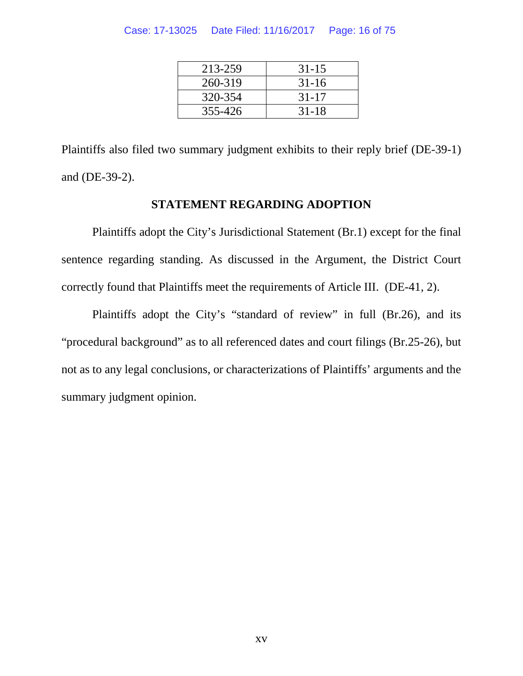#### Case: 17-13025 Date Filed: 11/16/2017 Page: 16 of 75

| 213-259 | $31 - 15$ |
|---------|-----------|
| 260-319 | $31-16$   |
| 320-354 | $31 - 17$ |
| 355-426 | $31 - 18$ |

Plaintiffs also filed two summary judgment exhibits to their reply brief (DE-39-1) and (DE-39-2).

## **STATEMENT REGARDING ADOPTION**

<span id="page-15-0"></span>Plaintiffs adopt the City's Jurisdictional Statement (Br.1) except for the final sentence regarding standing. As discussed in the Argument, the District Court correctly found that Plaintiffs meet the requirements of Article III. (DE-41, 2).

Plaintiffs adopt the City's "standard of review" in full (Br.26), and its "procedural background" as to all referenced dates and court filings (Br.25-26), but not as to any legal conclusions, or characterizations of Plaintiffs' arguments and the summary judgment opinion.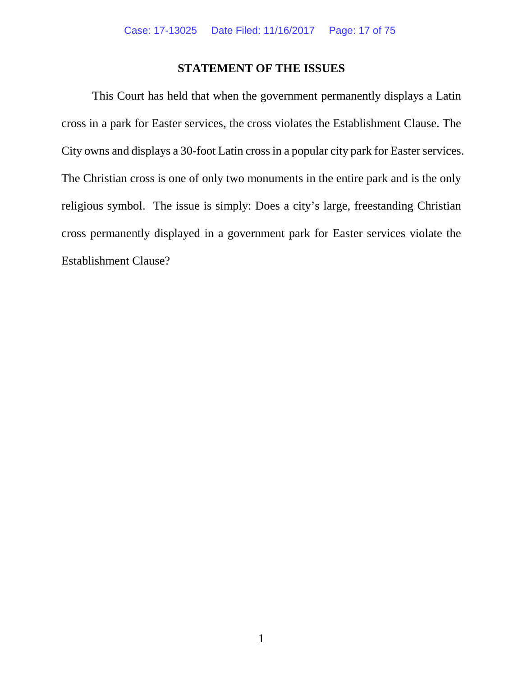## **STATEMENT OF THE ISSUES**

<span id="page-16-0"></span>This Court has held that when the government permanently displays a Latin cross in a park for Easter services, the cross violates the Establishment Clause. The City owns and displays a 30-foot Latin cross in a popular city park for Easter services. The Christian cross is one of only two monuments in the entire park and is the only religious symbol. The issue is simply: Does a city's large, freestanding Christian cross permanently displayed in a government park for Easter services violate the Establishment Clause?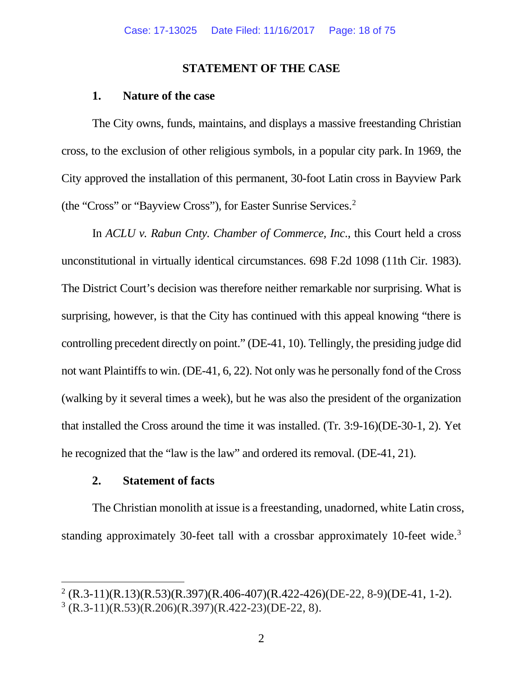#### **STATEMENT OF THE CASE**

#### <span id="page-17-0"></span>**1. Nature of the case**

<span id="page-17-1"></span>The City owns, funds, maintains, and displays a massive freestanding Christian cross, to the exclusion of other religious symbols, in a popular city park.In 1969, the City approved the installation of this permanent, 30-foot Latin cross in Bayview Park (the "Cross" or "Bayview Cross"), for Easter Sunrise Services[.2](#page-17-3)

In *ACLU v. Rabun Cnty. Chamber of Commerce, Inc*., this Court held a cross unconstitutional in virtually identical circumstances. 698 F.2d 1098 (11th Cir. 1983). The District Court's decision was therefore neither remarkable nor surprising. What is surprising, however, is that the City has continued with this appeal knowing "there is controlling precedent directly on point." (DE-41, 10). Tellingly, the presiding judge did not want Plaintiffs to win. (DE-41, 6, 22). Not only was he personally fond of the Cross (walking by it several times a week), but he was also the president of the organization that installed the Cross around the time it was installed. (Tr. 3:9-16)(DE-30-1, 2). Yet he recognized that the "law is the law" and ordered its removal. (DE-41, 21).

### **2. Statement of facts**

<span id="page-17-2"></span>The Christian monolith at issue is a freestanding, unadorned, white Latin cross, standing approximately 30-feet tall with a crossbar approximately 10-feet wide.<sup>3</sup>

<span id="page-17-4"></span><span id="page-17-3"></span> $2 (R.3-11)(R.13)(R.53)(R.397)(R.406-407)(R.422-426)(DE-22, 8-9)(DE-41, 1-2).$  $3 (R.3-11)(R.53)(R.206)(R.397)(R.422-23)(DE-22, 8).$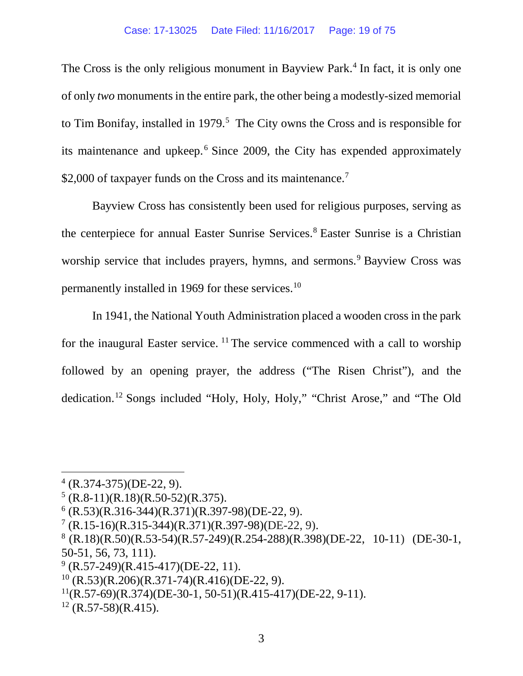The Cross is the only religious monument in Bayview Park.<sup>[4](#page-18-0)</sup> In fact, it is only one of only *two* monuments in the entire park, the other being a modestly-sized memorial to Tim Bonifay, installed in 1979. [5](#page-18-1) The City owns the Cross and is responsible for its maintenance and upkeep.[6](#page-18-2) Since 2009, the City has expended approximately \$2,000 of taxpayer funds on the Cross and its maintenance.<sup>[7](#page-18-3)</sup>

Bayview Cross has consistently been used for religious purposes, serving as the centerpiece for annual Easter Sunrise Services. [8](#page-18-4) Easter Sunrise is a Christian worship service that includes prayers, hymns, and sermons.<sup>[9](#page-18-5)</sup> Bayview Cross was permanently installed in 1969 for these services.<sup>[10](#page-18-6)</sup>

In 1941, the National Youth Administration placed a wooden cross in the park for the inaugural Easter service. [11](#page-18-7) The service commenced with a call to worship followed by an opening prayer, the address ("The Risen Christ"), and the dedication.[12](#page-18-8) Songs included "Holy, Holy, Holy," "Christ Arose," and "The Old

<span id="page-18-8"></span> $12$  (R.57-58)(R.415).

<span id="page-18-0"></span> $4$  (R.374-375)(DE-22, 9).

<span id="page-18-1"></span> $5$  (R.8-11)(R.18)(R.50-52)(R.375).

<span id="page-18-2"></span> $<sup>6</sup>$  (R.53)(R.316-344)(R.371)(R.397-98)(DE-22, 9).</sup>

<span id="page-18-3"></span> $7 (R.15-16)(R.315-344)(R.371)(R.397-98)(DE-22, 9).$ 

<span id="page-18-4"></span> $8 (R.18)(R.50)(R.53-54)(R.57-249)(R.254-288)(R.398)(DE-22, 10-11) (DE-30-1,$ 50-51, 56, 73, 111).

<span id="page-18-5"></span> $^{9}$  (R.57-249)(R.415-417)(DE-22, 11).

<span id="page-18-6"></span> $10$  (R.53)(R.206)(R.371-74)(R.416)(DE-22, 9).

<span id="page-18-7"></span> $^{11}$ (R.57-69)(R.374)(DE-30-1, 50-51)(R.415-417)(DE-22, 9-11).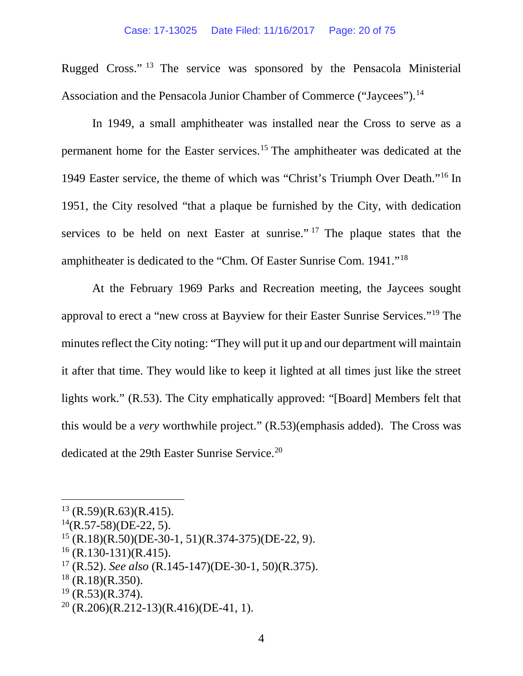Rugged Cross." [13](#page-19-0) The service was sponsored by the Pensacola Ministerial Association and the Pensacola Junior Chamber of Commerce ("Jaycees").<sup>[14](#page-19-1)</sup>

In 1949, a small amphitheater was installed near the Cross to serve as a permanent home for the Easter services. [15](#page-19-2) The amphitheater was dedicated at the 1949 Easter service, the theme of which was "Christ's Triumph Over Death."[16](#page-19-3) In 1951, the City resolved "that a plaque be furnished by the City, with dedication services to be held on next Easter at sunrise."<sup>[17](#page-19-4)</sup> The plaque states that the amphitheater is dedicated to the "Chm. Of Easter Sunrise Com. 1941."[18](#page-19-5)

At the February 1969 Parks and Recreation meeting, the Jaycees sought approval to erect a "new cross at Bayview for their Easter Sunrise Services."[19](#page-19-6) The minutes reflect the City noting: "They will put it up and our department will maintain it after that time. They would like to keep it lighted at all times just like the street lights work." (R.53). The City emphatically approved: "[Board] Members felt that this would be a *very* worthwhile project." (R.53)(emphasis added). The Cross was dedicated at the 29th Easter Sunrise Service.<sup>20</sup>

<span id="page-19-0"></span> $13$  (R.59)(R.63)(R.415).

<span id="page-19-1"></span> $^{14}$ (R.57-58)(DE-22, 5).

<span id="page-19-2"></span> $15$  (R.18)(R.50)(DE-30-1, 51)(R.374-375)(DE-22, 9).

<span id="page-19-3"></span> $16$  (R.130-131)(R.415).

<span id="page-19-4"></span><sup>17</sup> (R.52). *See also* (R.145-147)(DE-30-1, 50)(R.375).

<span id="page-19-5"></span> $18$  (R.18)(R.350).

<span id="page-19-6"></span> $19$  (R.53)(R.374).

<span id="page-19-7"></span> $20$  (R.206)(R.212-13)(R.416)(DE-41, 1).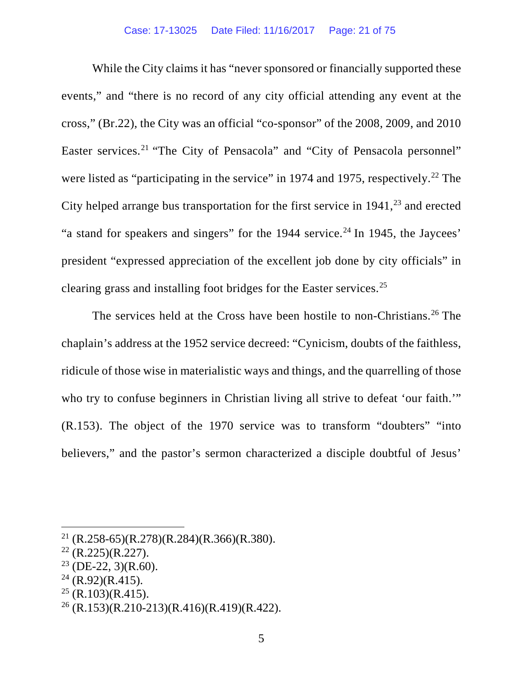While the City claims it has "never sponsored or financially supported these events," and "there is no record of any city official attending any event at the cross," (Br.22), the City was an official "co-sponsor" of the 2008, 2009, and 2010 Easter services.<sup>[21](#page-20-0)</sup> "The City of Pensacola" and "City of Pensacola personnel" were listed as "participating in the service" in 1974 and 1975, respectively.<sup>[22](#page-20-1)</sup> The City helped arrange bus transportation for the first service in 1941, [23](#page-20-2) and erected "a stand for speakers and singers" for the 1944 service.<sup>[24](#page-20-3)</sup> In 1945, the Jaycees' president "expressed appreciation of the excellent job done by city officials" in clearing grass and installing foot bridges for the Easter services. [25](#page-20-4)

The services held at the Cross have been hostile to non-Christians.<sup>[26](#page-20-5)</sup> The chaplain's address at the 1952 service decreed: "Cynicism, doubts of the faithless, ridicule of those wise in materialistic ways and things, and the quarrelling of those who try to confuse beginners in Christian living all strive to defeat 'our faith.'" (R.153). The object of the 1970 service was to transform "doubters" "into believers," and the pastor's sermon characterized a disciple doubtful of Jesus'

<span id="page-20-4"></span> $25$  (R.103)(R.415).

<span id="page-20-0"></span><sup>&</sup>lt;sup>21</sup> (R.258-65)(R.278)(R.284)(R.366)(R.380).

<span id="page-20-1"></span> $22$  (R.225)(R.227).

<span id="page-20-2"></span> $23$  (DE-22, 3)(R.60).

<span id="page-20-3"></span> $24$  (R.92)(R.415).

<span id="page-20-5"></span> $26$  (R.153)(R.210-213)(R.416)(R.419)(R.422).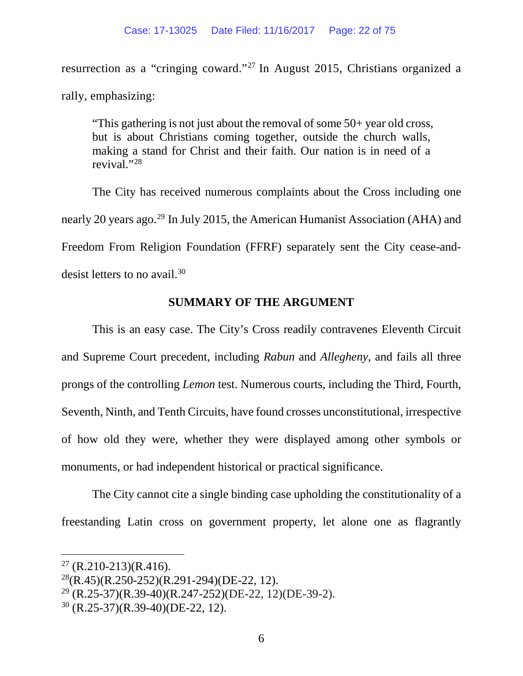resurrection as a "cringing coward."[27](#page-21-1) In August 2015, Christians organized a rally, emphasizing:

"This gathering is not just about the removal of some 50+ year old cross, but is about Christians coming together, outside the church walls, making a stand for Christ and their faith. Our nation is in need of a revival."[28](#page-21-2)

The City has received numerous complaints about the Cross including one nearly 20 years ago. [29](#page-21-3) In July 2015, the American Humanist Association (AHA) and Freedom From Religion Foundation (FFRF) separately sent the City cease-and-desist letters to no avail.<sup>[30](#page-21-4)</sup>

## **SUMMARY OF THE ARGUMENT**

<span id="page-21-0"></span>This is an easy case. The City's Cross readily contravenes Eleventh Circuit and Supreme Court precedent, including *Rabun* and *Allegheny*, and fails all three prongs of the controlling *Lemon* test. Numerous courts, including the Third, Fourth, Seventh, Ninth, and Tenth Circuits, have found crosses unconstitutional, irrespective of how old they were, whether they were displayed among other symbols or monuments, or had independent historical or practical significance.

The City cannot cite a single binding case upholding the constitutionality of a freestanding Latin cross on government property, let alone one as flagrantly

<span id="page-21-1"></span> $27$  (R.210-213)(R.416).

<span id="page-21-2"></span> $^{28}$ (R.45)(R.250-252)(R.291-294)(DE-22, 12).

<span id="page-21-3"></span> $29$  (R.25-37)(R.39-40)(R.247-252)(DE-22, 12)(DE-39-2).

<span id="page-21-4"></span> $30$  (R.25-37)(R.39-40)(DE-22, 12).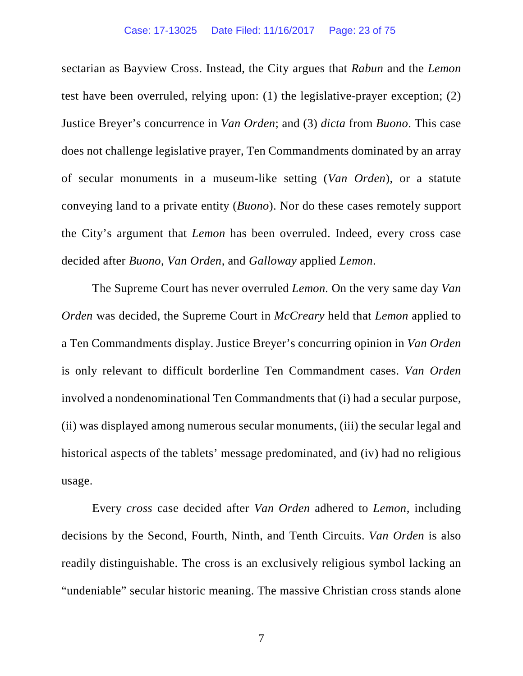sectarian as Bayview Cross. Instead, the City argues that *Rabun* and the *Lemon* test have been overruled, relying upon: (1) the legislative-prayer exception; (2) Justice Breyer's concurrence in *Van Orden*; and (3) *dicta* from *Buono*. This case does not challenge legislative prayer, Ten Commandments dominated by an array of secular monuments in a museum-like setting (*Van Orden*), or a statute conveying land to a private entity (*Buono*). Nor do these cases remotely support the City's argument that *Lemon* has been overruled. Indeed, every cross case decided after *Buono*, *Van Orden*, and *Galloway* applied *Lemon*.

The Supreme Court has never overruled *Lemon.* On the very same day *Van Orden* was decided, the Supreme Court in *McCreary* held that *Lemon* applied to a Ten Commandments display. Justice Breyer's concurring opinion in *Van Orden* is only relevant to difficult borderline Ten Commandment cases. *Van Orden* involved a nondenominational Ten Commandments that (i) had a secular purpose, (ii) was displayed among numerous secular monuments, (iii) the secular legal and historical aspects of the tablets' message predominated, and (iv) had no religious usage.

Every *cross* case decided after *Van Orden* adhered to *Lemon*, including decisions by the Second, Fourth, Ninth, and Tenth Circuits. *Van Orden* is also readily distinguishable. The cross is an exclusively religious symbol lacking an "undeniable" secular historic meaning. The massive Christian cross stands alone

7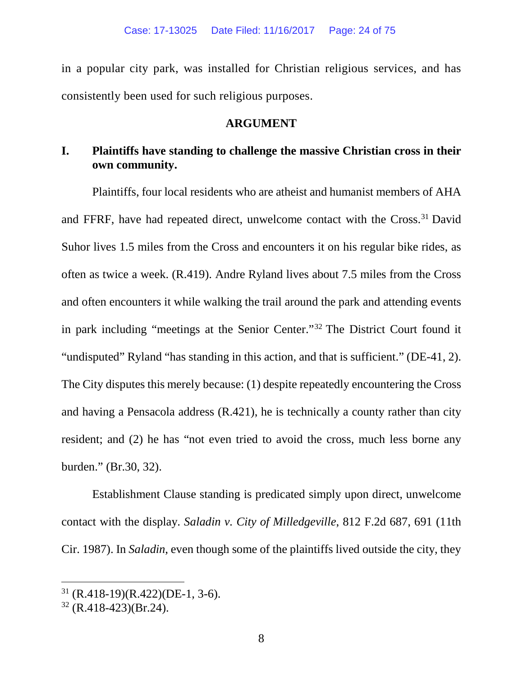in a popular city park, was installed for Christian religious services, and has consistently been used for such religious purposes.

## **ARGUMENT**

# <span id="page-23-1"></span><span id="page-23-0"></span>**I. Plaintiffs have standing to challenge the massive Christian cross in their own community.**

Plaintiffs, four local residents who are atheist and humanist members of AHA and FFRF, have had repeated direct, unwelcome contact with the Cross.<sup>[31](#page-23-2)</sup> David Suhor lives 1.5 miles from the Cross and encounters it on his regular bike rides, as often as twice a week. (R.419). Andre Ryland lives about 7.5 miles from the Cross and often encounters it while walking the trail around the park and attending events in park including "meetings at the Senior Center."[32](#page-23-3) The District Court found it "undisputed" Ryland "has standing in this action, and that is sufficient." (DE-41, 2). The City disputes this merely because: (1) despite repeatedly encountering the Cross and having a Pensacola address (R.421), he is technically a county rather than city resident; and (2) he has "not even tried to avoid the cross, much less borne any burden." (Br.30, 32).

Establishment Clause standing is predicated simply upon direct, unwelcome contact with the display. *Saladin v. City of Milledgeville*, 812 F.2d 687, 691 (11th Cir. 1987). In *Saladin*, even though some of the plaintiffs lived outside the city, they

<span id="page-23-2"></span> $31$  (R.418-19)(R.422)(DE-1, 3-6).

<span id="page-23-3"></span> $32$  (R.418-423)(Br.24).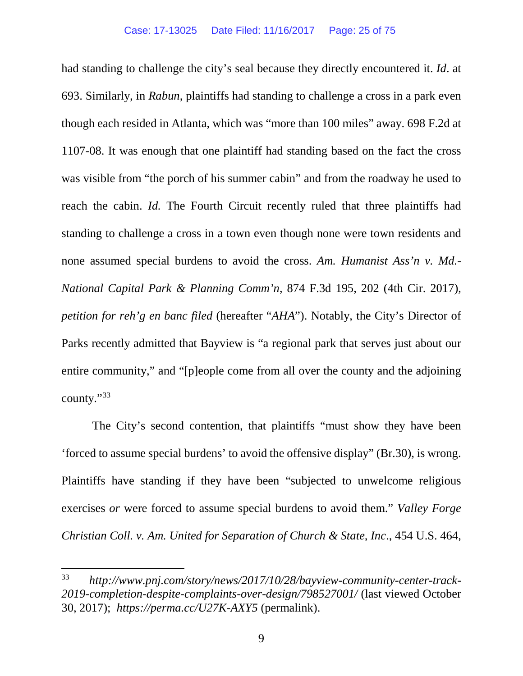had standing to challenge the city's seal because they directly encountered it. *Id*. at 693. Similarly, in *Rabun*, plaintiffs had standing to challenge a cross in a park even though each resided in Atlanta, which was "more than 100 miles" away. 698 F.2d at 1107-08. It was enough that one plaintiff had standing based on the fact the cross was visible from "the porch of his summer cabin" and from the roadway he used to reach the cabin. *Id.* The Fourth Circuit recently ruled that three plaintiffs had standing to challenge a cross in a town even though none were town residents and none assumed special burdens to avoid the cross. *Am. Humanist Ass'n v. Md.- National Capital Park & Planning Comm'n*, 874 F.3d 195, 202 (4th Cir. 2017), *petition for reh'g en banc filed* (hereafter "*AHA*"). Notably, the City's Director of Parks recently admitted that Bayview is "a regional park that serves just about our entire community," and "[p]eople come from all over the county and the adjoining county."[33](#page-24-0)

The City's second contention, that plaintiffs "must show they have been 'forced to assume special burdens' to avoid the offensive display" (Br.30), is wrong. Plaintiffs have standing if they have been "subjected to unwelcome religious exercises *or* were forced to assume special burdens to avoid them." *Valley Forge Christian Coll. v. Am. United for Separation of Church & State, Inc*., 454 U.S. 464,

<span id="page-24-0"></span> <sup>33</sup> *http://www.pnj.com/story/news/2017/10/28/bayview-community-center-track-2019-completion-despite-complaints-over-design/798527001/* (last viewed October 30, 2017); *https://perma.cc/U27K-AXY5* (permalink).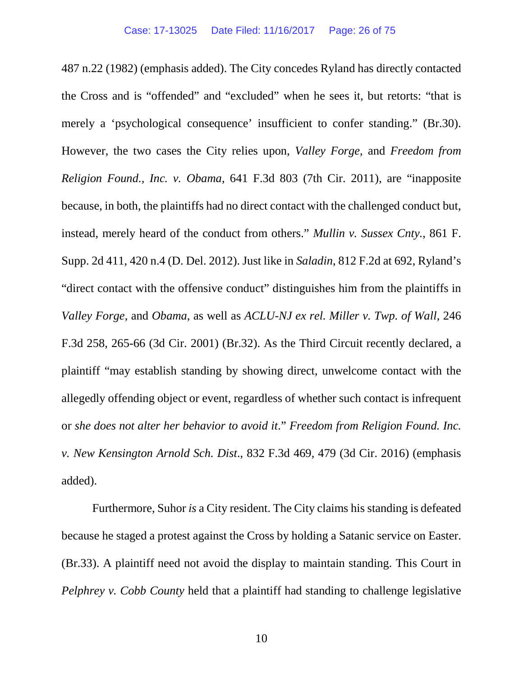487 n.22 (1982) (emphasis added). The City concedes Ryland has directly contacted the Cross and is "offended" and "excluded" when he sees it, but retorts: "that is merely a 'psychological consequence' insufficient to confer standing." (Br.30). However, the two cases the City relies upon, *Valley Forge*, and *Freedom from Religion Found., Inc. v. Obama*, 641 F.3d 803 (7th Cir. 2011), are "inapposite because, in both, the plaintiffs had no direct contact with the challenged conduct but, instead, merely heard of the conduct from others." *Mullin v. Sussex Cnty.*, 861 F. Supp. 2d 411, 420 n.4 (D. Del. 2012). Just like in *Saladin*, 812 F.2d at 692, Ryland's "direct contact with the offensive conduct" distinguishes him from the plaintiffs in *Valley Forge*, and *Obama*, as well as *ACLU-NJ ex rel. Miller v. Twp. of Wall*, 246 F.3d 258, 265-66 (3d Cir. 2001) (Br.32). As the Third Circuit recently declared, a plaintiff "may establish standing by showing direct, unwelcome contact with the allegedly offending object or event, regardless of whether such contact is infrequent or *she does not alter her behavior to avoid it*." *Freedom from Religion Found. Inc. v. New Kensington Arnold Sch. Dist*., 832 F.3d 469, 479 (3d Cir. 2016) (emphasis added).

Furthermore, Suhor *is* a City resident. The City claims his standing is defeated because he staged a protest against the Cross by holding a Satanic service on Easter. (Br.33). A plaintiff need not avoid the display to maintain standing. This Court in *Pelphrey v. Cobb County* held that a plaintiff had standing to challenge legislative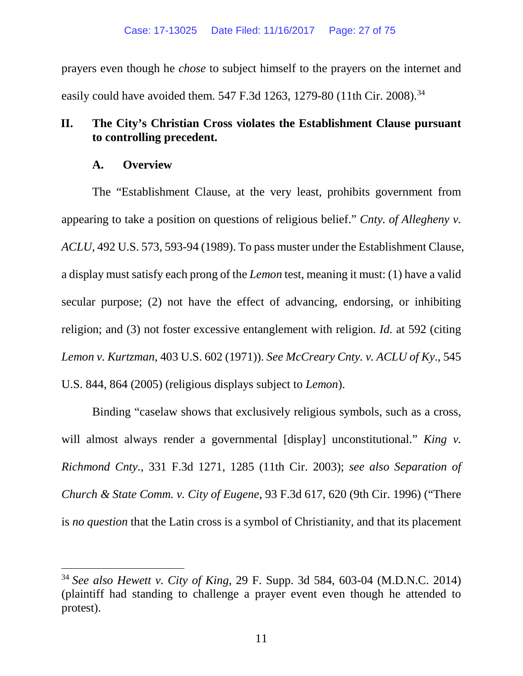prayers even though he *chose* to subject himself to the prayers on the internet and easily could have avoided them. 547 F.3d 1263, 1279-80 (11th Cir. 2008).<sup>[34](#page-26-2)</sup>

## <span id="page-26-0"></span>**II. The City's Christian Cross violates the Establishment Clause pursuant to controlling precedent.**

## **A. Overview**

<span id="page-26-1"></span>The "Establishment Clause, at the very least, prohibits government from appearing to take a position on questions of religious belief." *Cnty. of Allegheny v. ACLU*, 492 U.S. 573, 593-94 (1989). To pass muster under the Establishment Clause, a display must satisfy each prong of the *Lemon* test, meaning it must: (1) have a valid secular purpose; (2) not have the effect of advancing, endorsing, or inhibiting religion; and (3) not foster excessive entanglement with religion. *Id.* at 592 (citing *Lemon v. Kurtzman*, 403 U.S. 602 (1971)). *See McCreary Cnty. v. ACLU of Ky*., 545 U.S. 844, 864 (2005) (religious displays subject to *Lemon*).

Binding "caselaw shows that exclusively religious symbols, such as a cross, will almost always render a governmental [display] unconstitutional." *King v. Richmond Cnty.*, 331 F.3d 1271, 1285 (11th Cir. 2003); *see also Separation of Church & State Comm. v. City of Eugene*, 93 F.3d 617, 620 (9th Cir. 1996) ("There is *no question* that the Latin cross is a symbol of Christianity, and that its placement

<span id="page-26-2"></span> <sup>34</sup> *See also Hewett v. City of King*, 29 F. Supp. 3d 584, 603-04 (M.D.N.C. 2014) (plaintiff had standing to challenge a prayer event even though he attended to protest).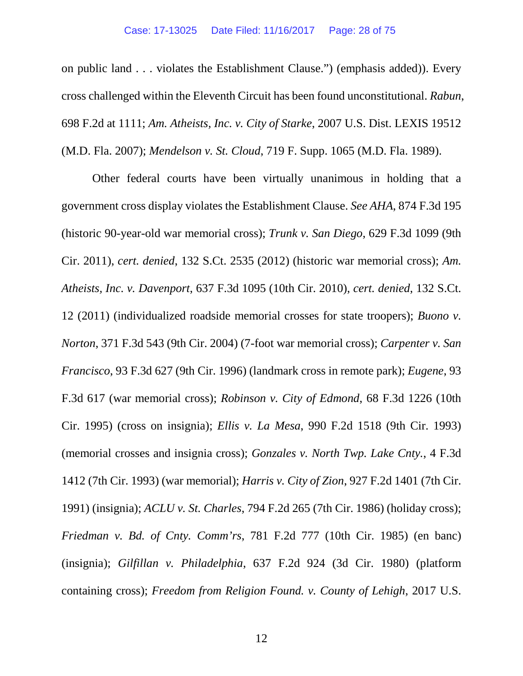on public land . . . violates the Establishment Clause.") (emphasis added)). Every cross challenged within the Eleventh Circuit has been found unconstitutional. *Rabun*, 698 F.2d at 1111; *Am. Atheists, Inc. v. City of Starke*, 2007 U.S. Dist. LEXIS 19512 (M.D. Fla. 2007); *Mendelson v. St. Cloud*, 719 F. Supp. 1065 (M.D. Fla. 1989).

Other federal courts have been virtually unanimous in holding that a government cross display violates the Establishment Clause. *See AHA*, 874 F.3d 195 (historic 90-year-old war memorial cross); *Trunk v. San Diego*, 629 F.3d 1099 (9th Cir. 2011), *cert. denied*, 132 S.Ct. 2535 (2012) (historic war memorial cross); *Am. Atheists, Inc. v. Davenport*, 637 F.3d 1095 (10th Cir. 2010), *cert. denied*, 132 S.Ct. 12 (2011) (individualized roadside memorial crosses for state troopers); *Buono v. Norton*, 371 F.3d 543 (9th Cir. 2004) (7-foot war memorial cross); *Carpenter v. San Francisco*, 93 F.3d 627 (9th Cir. 1996) (landmark cross in remote park); *Eugene*, 93 F.3d 617 (war memorial cross); *Robinson v. City of Edmond*, 68 F.3d 1226 (10th Cir. 1995) (cross on insignia); *Ellis v. La Mesa*, 990 F.2d 1518 (9th Cir. 1993) (memorial crosses and insignia cross); *Gonzales v. North Twp. Lake Cnty.*, 4 F.3d 1412 (7th Cir. 1993) (war memorial); *Harris v. City of Zion*, 927 F.2d 1401 (7th Cir. 1991) (insignia); *ACLU v. St. Charles*, 794 F.2d 265 (7th Cir. 1986) (holiday cross); *Friedman v. Bd. of Cnty. Comm'rs*, 781 F.2d 777 (10th Cir. 1985) (en banc) (insignia); *Gilfillan v. Philadelphia*, 637 F.2d 924 (3d Cir. 1980) (platform containing cross); *Freedom from Religion Found. v. County of Lehigh*, 2017 U.S.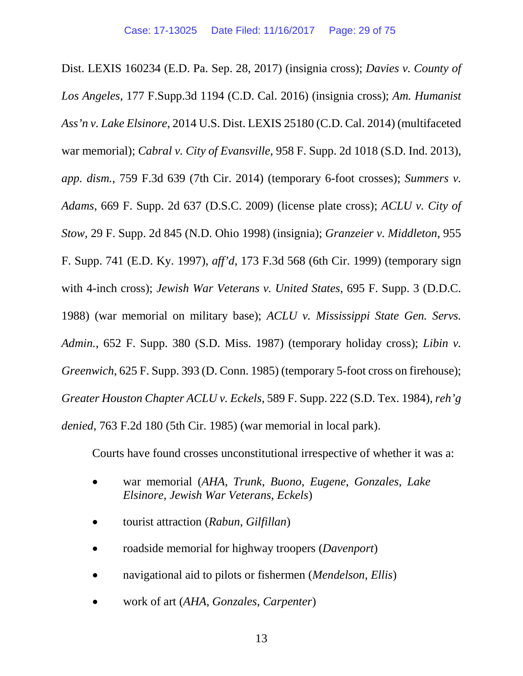Dist. LEXIS 160234 (E.D. Pa. Sep. 28, 2017) (insignia cross); *Davies v. County of Los Angeles*, 177 F.Supp.3d 1194 (C.D. Cal. 2016) (insignia cross); *Am. Humanist Ass'n v. Lake Elsinore*, 2014 U.S. Dist. LEXIS 25180 (C.D. Cal. 2014) (multifaceted war memorial); *Cabral v. City of Evansville*, 958 F. Supp. 2d 1018 (S.D. Ind. 2013), *app. dism.*, 759 F.3d 639 (7th Cir. 2014) (temporary 6-foot crosses); *Summers v. Adams*, 669 F. Supp. 2d 637 (D.S.C. 2009) (license plate cross); *ACLU v. City of Stow*, 29 F. Supp. 2d 845 (N.D. Ohio 1998) (insignia); *Granzeier v. Middleton*, 955 F. Supp. 741 (E.D. Ky. 1997), *aff'd*, 173 F.3d 568 (6th Cir. 1999) (temporary sign with 4-inch cross); *Jewish War Veterans v. United States*, 695 F. Supp. 3 (D.D.C. 1988) (war memorial on military base); *ACLU v. Mississippi State Gen. Servs. Admin.*, 652 F. Supp. 380 (S.D. Miss. 1987) (temporary holiday cross); *Libin v. Greenwich*, 625 F. Supp. 393 (D. Conn. 1985) (temporary 5-foot cross on firehouse); *Greater Houston Chapter ACLU v. Eckels*, 589 F. Supp. 222 (S.D. Tex. 1984), *reh'g denied*, 763 F.2d 180 (5th Cir. 1985) (war memorial in local park).

Courts have found crosses unconstitutional irrespective of whether it was a:

- war memorial (*AHA*, *Trunk*, *Buono*, *Eugene*, *Gonzales*, *Lake Elsinore*, *Jewish War Veterans*, *Eckels*)
- tourist attraction (*Rabun*, *Gilfillan*)
- roadside memorial for highway troopers (*Davenport*)
- navigational aid to pilots or fishermen (*Mendelson*, *Ellis*)
- work of art (*AHA*, *Gonzales*, *Carpenter*)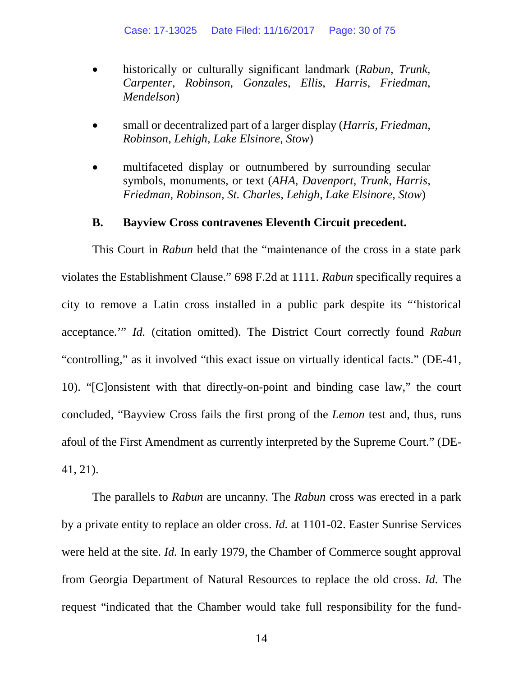- historically or culturally significant landmark (*Rabun*, *Trunk*, *Carpenter*, *Robinson*, *Gonzales*, *Ellis*, *Harris*, *Friedman*, *Mendelson*)
- small or decentralized part of a larger display (*Harris*, *Friedman*, *Robinson*, *Lehigh*, *Lake Elsinore*, *Stow*)
- multifaceted display or outnumbered by surrounding secular symbols, monuments, or text (*AHA*, *Davenport*, *Trunk*, *Harris*, *Friedman*, *Robinson*, *St. Charles*, *Lehigh*, *Lake Elsinore*, *Stow*)

#### **B. Bayview Cross contravenes Eleventh Circuit precedent.**

<span id="page-29-0"></span>This Court in *Rabun* held that the "maintenance of the cross in a state park violates the Establishment Clause." 698 F.2d at 1111. *Rabun* specifically requires a city to remove a Latin cross installed in a public park despite its "'historical acceptance.'" *Id.* (citation omitted). The District Court correctly found *Rabun* "controlling," as it involved "this exact issue on virtually identical facts." (DE-41, 10). "[C]onsistent with that directly-on-point and binding case law," the court concluded, "Bayview Cross fails the first prong of the *Lemon* test and, thus, runs afoul of the First Amendment as currently interpreted by the Supreme Court." (DE-41, 21).

The parallels to *Rabun* are uncanny*.* The *Rabun* cross was erected in a park by a private entity to replace an older cross. *Id.* at 1101-02. Easter Sunrise Services were held at the site. *Id.* In early 1979, the Chamber of Commerce sought approval from Georgia Department of Natural Resources to replace the old cross. *Id.* The request "indicated that the Chamber would take full responsibility for the fund-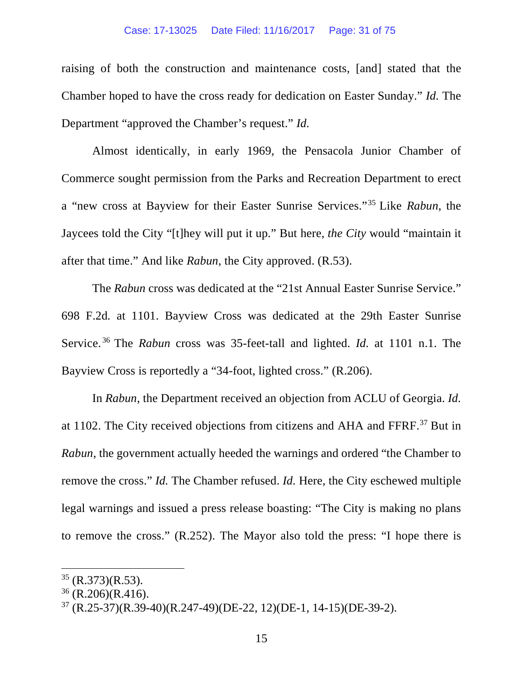#### Case: 17-13025 Date Filed: 11/16/2017 Page: 31 of 75

raising of both the construction and maintenance costs, [and] stated that the Chamber hoped to have the cross ready for dedication on Easter Sunday." *Id.* The Department "approved the Chamber's request." *Id.*

Almost identically, in early 1969, the Pensacola Junior Chamber of Commerce sought permission from the Parks and Recreation Department to erect a "new cross at Bayview for their Easter Sunrise Services."[35](#page-30-0) Like *Rabun*, the Jaycees told the City "[t]hey will put it up." But here, *the City* would "maintain it after that time." And like *Rabun*, the City approved. (R.53).

The *Rabun* cross was dedicated at the "21st Annual Easter Sunrise Service." 698 F.2d*.* at 1101. Bayview Cross was dedicated at the 29th Easter Sunrise Service. [36](#page-30-1) The *Rabun* cross was 35-feet-tall and lighted. *Id.* at 1101 n.1. The Bayview Cross is reportedly a "34-foot, lighted cross." (R.206).

In *Rabun*, the Department received an objection from ACLU of Georgia. *Id.*  at 1102. The City received objections from citizens and AHA and FFRF.[37](#page-30-2) But in *Rabun*, the government actually heeded the warnings and ordered "the Chamber to remove the cross." *Id.* The Chamber refused. *Id.* Here, the City eschewed multiple legal warnings and issued a press release boasting: "The City is making no plans to remove the cross." (R.252). The Mayor also told the press: "I hope there is

<span id="page-30-0"></span> $35$  (R.373)(R.53).

<span id="page-30-1"></span> $36$  (R.206)(R.416).

<span id="page-30-2"></span><sup>37</sup> (R.25-37)(R.39-40)(R.247-49)(DE-22, 12)(DE-1, 14-15)(DE-39-2).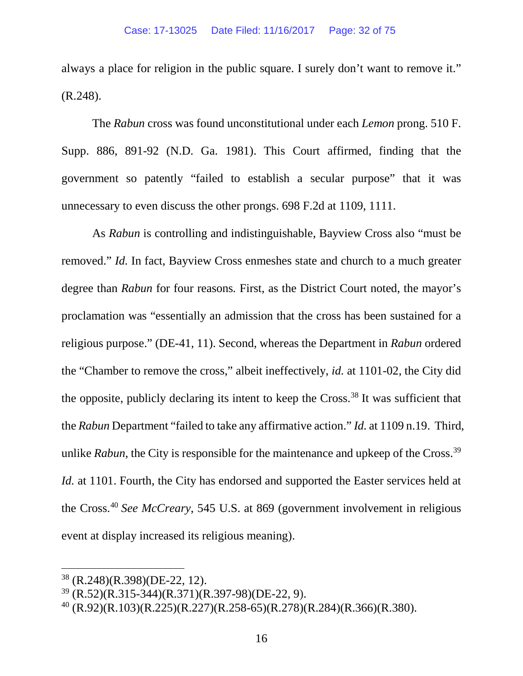always a place for religion in the public square. I surely don't want to remove it." (R.248).

The *Rabun* cross was found unconstitutional under each *Lemon* prong. 510 F. Supp. 886, 891-92 (N.D. Ga. 1981). This Court affirmed, finding that the government so patently "failed to establish a secular purpose" that it was unnecessary to even discuss the other prongs. 698 F.2d at 1109, 1111.

As *Rabun* is controlling and indistinguishable, Bayview Cross also "must be removed." *Id.* In fact, Bayview Cross enmeshes state and church to a much greater degree than *Rabun* for four reasons. First, as the District Court noted, the mayor's proclamation was "essentially an admission that the cross has been sustained for a religious purpose." (DE-41, 11). Second, whereas the Department in *Rabun* ordered the "Chamber to remove the cross," albeit ineffectively, *id.* at 1101-02, the City did the opposite, publicly declaring its intent to keep the Cross.<sup>[38](#page-31-0)</sup> It was sufficient that the *Rabun* Department "failed to take any affirmative action." *Id.* at 1109 n.19. Third, unlike *Rabun*, the City is responsible for the maintenance and upkeep of the Cross.<sup>[39](#page-31-1)</sup> *Id.* at 1101. Fourth, the City has endorsed and supported the Easter services held at the Cross. [40](#page-31-2) *See McCreary*, 545 U.S. at 869 (government involvement in religious event at display increased its religious meaning).

<span id="page-31-0"></span> $38$  (R.248)(R.398)(DE-22, 12).

<span id="page-31-1"></span><sup>39</sup> (R.52)(R.315-344)(R.371)(R.397-98)(DE-22, 9).

<span id="page-31-2"></span> $^{40}$  (R.92)(R.103)(R.225)(R.227)(R.258-65)(R.278)(R.284)(R.366)(R.380).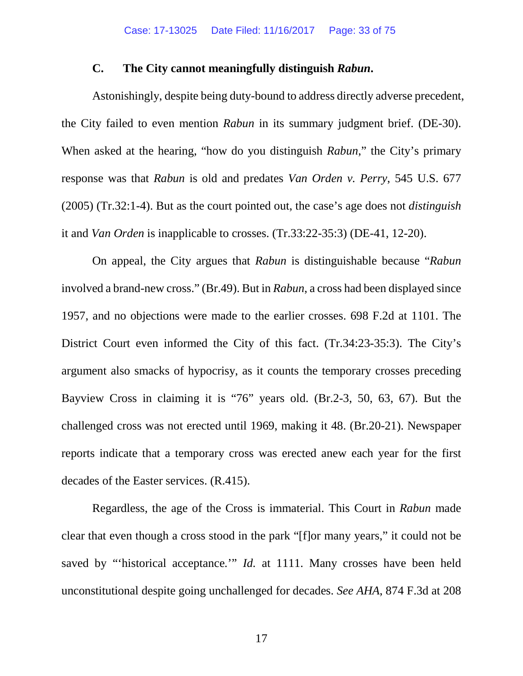#### **C. The City cannot meaningfully distinguish** *Rabun***.**

Astonishingly, despite being duty-bound to address directly adverse precedent, the City failed to even mention *Rabun* in its summary judgment brief. (DE-30). When asked at the hearing, "how do you distinguish *Rabun*," the City's primary response was that *Rabun* is old and predates *Van Orden v. Perry*, 545 U.S. 677 (2005) (Tr.32:1-4). But as the court pointed out, the case's age does not *distinguish*  it and *Van Orden* is inapplicable to crosses. (Tr.33:22-35:3) (DE-41, 12-20).

On appeal, the City argues that *Rabun* is distinguishable because "*Rabun* involved a brand-new cross." (Br.49). But in *Rabun*, a cross had been displayed since 1957, and no objections were made to the earlier crosses. 698 F.2d at 1101. The District Court even informed the City of this fact. (Tr.34:23-35:3). The City's argument also smacks of hypocrisy, as it counts the temporary crosses preceding Bayview Cross in claiming it is "76" years old. (Br.2-3, 50, 63, 67). But the challenged cross was not erected until 1969, making it 48. (Br.20-21). Newspaper reports indicate that a temporary cross was erected anew each year for the first decades of the Easter services. (R.415).

Regardless, the age of the Cross is immaterial. This Court in *Rabun* made clear that even though a cross stood in the park "[f]or many years," it could not be saved by "historical acceptance." *Id.* at 1111. Many crosses have been held unconstitutional despite going unchallenged for decades. *See AHA*, 874 F.3d at 208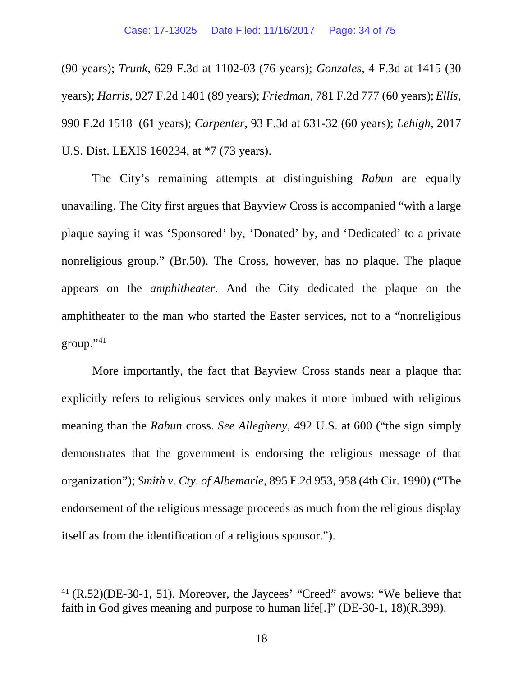(90 years); *Trunk*, 629 F.3d at 1102-03 (76 years); *Gonzales*, 4 F.3d at 1415 (30 years); *Harris*, 927 F.2d 1401 (89 years); *Friedman*, 781 F.2d 777 (60 years); *Ellis*, 990 F.2d 1518 (61 years); *Carpenter*, 93 F.3d at 631-32 (60 years); *Lehigh*, 2017 U.S. Dist. LEXIS 160234, at \*7 (73 years).

The City's remaining attempts at distinguishing *Rabun* are equally unavailing. The City first argues that Bayview Cross is accompanied "with a large plaque saying it was 'Sponsored' by, 'Donated' by, and 'Dedicated' to a private nonreligious group." (Br.50). The Cross, however, has no plaque. The plaque appears on the *amphitheater*. And the City dedicated the plaque on the amphitheater to the man who started the Easter services, not to a "nonreligious group."[41](#page-33-0)

More importantly, the fact that Bayview Cross stands near a plaque that explicitly refers to religious services only makes it more imbued with religious meaning than the *Rabun* cross. *See Allegheny*, 492 U.S. at 600 ("the sign simply demonstrates that the government is endorsing the religious message of that organization"); *Smith v. Cty. of Albemarle*, 895 F.2d 953, 958 (4th Cir. 1990) ("The endorsement of the religious message proceeds as much from the religious display itself as from the identification of a religious sponsor.").

<span id="page-33-0"></span> <sup>41</sup> (R.52)(DE-30-1, 51). Moreover, the Jaycees' "Creed" avows: "We believe that faith in God gives meaning and purpose to human life[.]" (DE-30-1, 18)(R.399).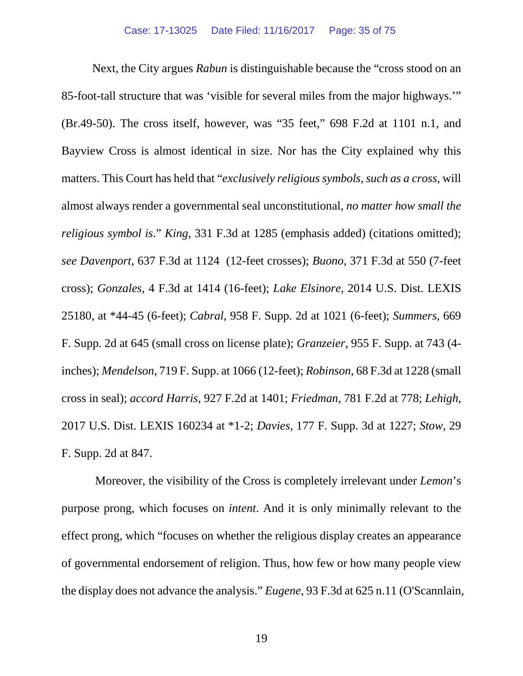Next, the City argues *Rabun* is distinguishable because the "cross stood on an 85-foot-tall structure that was 'visible for several miles from the major highways.'" (Br.49-50). The cross itself, however, was "35 feet," 698 F.2d at 1101 n.1, and Bayview Cross is almost identical in size. Nor has the City explained why this matters. This Court has held that "*exclusively religious symbols, such as a cross*, will almost always render a governmental seal unconstitutional, *no matter how small the religious symbol is*." *King*, 331 F.3d at 1285 (emphasis added) (citations omitted); *see Davenport*, 637 F.3d at 1124 (12-feet crosses); *Buono*, 371 F.3d at 550 (7-feet cross); *Gonzales*, 4 F.3d at 1414 (16-feet); *Lake Elsinore*, 2014 U.S. Dist. LEXIS 25180, at \*44-45 (6-feet); *Cabral*, 958 F. Supp. 2d at 1021 (6-feet); *Summers*, 669 F. Supp. 2d at 645 (small cross on license plate); *Granzeier*, 955 F. Supp. at 743 (4 inches); *Mendelson*, 719 F. Supp. at 1066 (12-feet); *Robinson*, 68 F.3d at 1228 (small cross in seal); *accord Harris*, 927 F.2d at 1401; *Friedman*, 781 F.2d at 778; *Lehigh*, 2017 U.S. Dist. LEXIS 160234 at \*1-2; *Davies*, 177 F. Supp. 3d at 1227; *Stow*, 29 F. Supp. 2d at 847.

Moreover, the visibility of the Cross is completely irrelevant under *Lemon*'s purpose prong, which focuses on *intent*. And it is only minimally relevant to the effect prong, which "focuses on whether the religious display creates an appearance of governmental endorsement of religion. Thus, how few or how many people view the display does not advance the analysis." *Eugene*, 93 F.3d at 625 n.11 (O'Scannlain,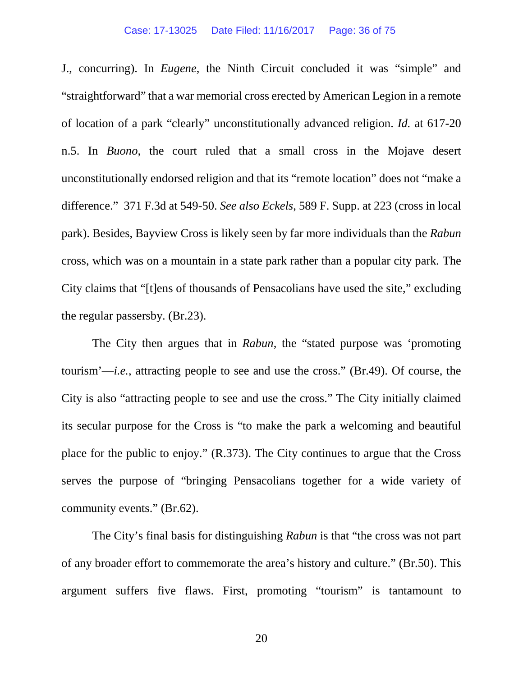#### Case: 17-13025 Date Filed: 11/16/2017 Page: 36 of 75

J., concurring). In *Eugene*, the Ninth Circuit concluded it was "simple" and "straightforward" that a war memorial cross erected by American Legion in a remote of location of a park "clearly" unconstitutionally advanced religion. *Id.* at 617-20 n.5. In *Buono*, the court ruled that a small cross in the Mojave desert unconstitutionally endorsed religion and that its "remote location" does not "make a difference." 371 F.3d at 549-50. *See also Eckels*, 589 F. Supp. at 223 (cross in local park). Besides, Bayview Cross is likely seen by far more individuals than the *Rabun* cross, which was on a mountain in a state park rather than a popular city park*.* The City claims that "[t]ens of thousands of Pensacolians have used the site," excluding the regular passersby. (Br.23).

The City then argues that in *Rabun*, the "stated purpose was 'promoting tourism'—*i.e.*, attracting people to see and use the cross." (Br.49). Of course, the City is also "attracting people to see and use the cross." The City initially claimed its secular purpose for the Cross is "to make the park a welcoming and beautiful place for the public to enjoy." (R.373). The City continues to argue that the Cross serves the purpose of "bringing Pensacolians together for a wide variety of community events." (Br.62).

The City's final basis for distinguishing *Rabun* is that "the cross was not part of any broader effort to commemorate the area's history and culture." (Br.50). This argument suffers five flaws. First, promoting "tourism" is tantamount to

20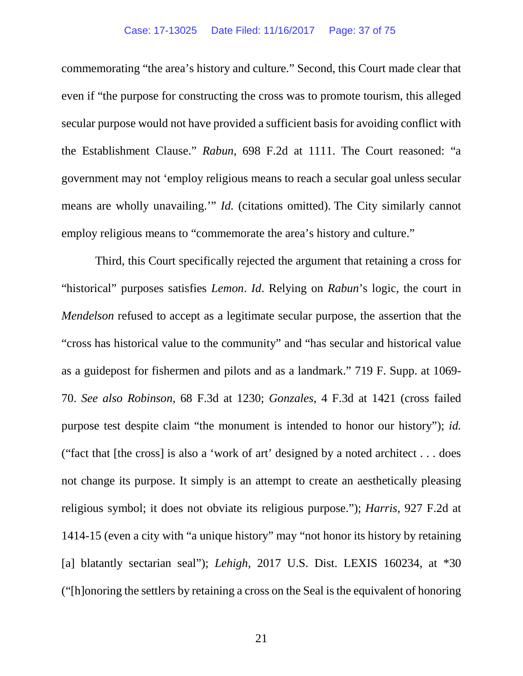#### Case: 17-13025 Date Filed: 11/16/2017 Page: 37 of 75

commemorating "the area's history and culture." Second, this Court made clear that even if "the purpose for constructing the cross was to promote tourism, this alleged secular purpose would not have provided a sufficient basis for avoiding conflict with the Establishment Clause." *Rabun*, 698 F.2d at 1111. The Court reasoned: "a government may not 'employ religious means to reach a secular goal unless secular means are wholly unavailing.'" *Id.* (citations omitted). The City similarly cannot employ religious means to "commemorate the area's history and culture."

Third, this Court specifically rejected the argument that retaining a cross for "historical" purposes satisfies *Lemon*. *Id*. Relying on *Rabun*'s logic, the court in *Mendelson* refused to accept as a legitimate secular purpose, the assertion that the "cross has historical value to the community" and "has secular and historical value as a guidepost for fishermen and pilots and as a landmark." 719 F. Supp. at 1069- 70. *See also Robinson*, 68 F.3d at 1230; *Gonzales*, 4 F.3d at 1421 (cross failed purpose test despite claim "the monument is intended to honor our history"); *id.*  ("fact that [the cross] is also a 'work of art' designed by a noted architect . . . does not change its purpose. It simply is an attempt to create an aesthetically pleasing religious symbol; it does not obviate its religious purpose."); *Harris*, 927 F.2d at 1414-15 (even a city with "a unique history" may "not honor its history by retaining [a] blatantly sectarian seal"); *Lehigh*, 2017 U.S. Dist. LEXIS 160234, at \*30 ("[h]onoring the settlers by retaining a cross on the Seal is the equivalent of honoring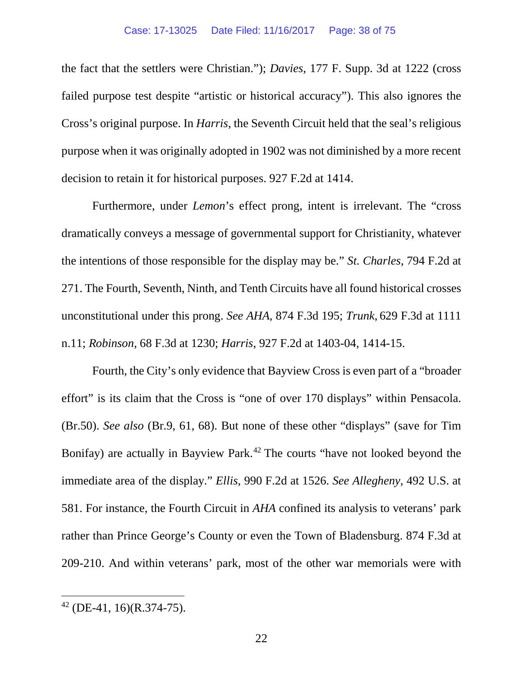the fact that the settlers were Christian."); *Davies*, 177 F. Supp. 3d at 1222 (cross failed purpose test despite "artistic or historical accuracy"). This also ignores the Cross's original purpose. In *Harris*, the Seventh Circuit held that the seal's religious purpose when it was originally adopted in 1902 was not diminished by a more recent decision to retain it for historical purposes. 927 F.2d at 1414.

Furthermore, under *Lemon*'s effect prong, intent is irrelevant. The "cross dramatically conveys a message of governmental support for Christianity, whatever the intentions of those responsible for the display may be." *St. Charles*, 794 F.2d at 271. The Fourth, Seventh, Ninth, and Tenth Circuits have all found historical crosses unconstitutional under this prong. *See AHA*, 874 F.3d 195; *Trunk*, 629 F.3d at 1111 n.11; *Robinson*, 68 F.3d at 1230; *Harris*, 927 F.2d at 1403-04, 1414-15.

Fourth, the City's only evidence that Bayview Cross is even part of a "broader effort" is its claim that the Cross is "one of over 170 displays" within Pensacola. (Br.50). *See also* (Br.9, 61, 68). But none of these other "displays" (save for Tim Bonifay) are actually in Bayview Park.<sup>[42](#page-37-0)</sup> The courts "have not looked beyond the immediate area of the display." *Ellis*, 990 F.2d at 1526. *See Allegheny*, 492 U.S. at 581. For instance, the Fourth Circuit in *AHA* confined its analysis to veterans' park rather than Prince George's County or even the Town of Bladensburg. 874 F.3d at 209-210. And within veterans' park, most of the other war memorials were with

<span id="page-37-0"></span> <sup>42</sup> (DE-41, 16)(R.374-75).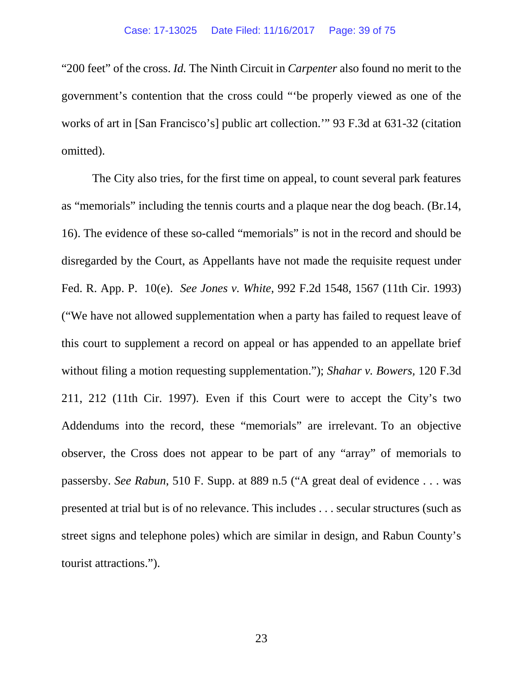"200 feet" of the cross. *Id.* The Ninth Circuit in *Carpenter* also found no merit to the government's contention that the cross could "'be properly viewed as one of the works of art in [San Francisco's] public art collection.'" 93 F.3d at 631-32 (citation omitted).

The City also tries, for the first time on appeal, to count several park features as "memorials" including the tennis courts and a plaque near the dog beach. (Br.14, 16). The evidence of these so-called "memorials" is not in the record and should be disregarded by the Court, as Appellants have not made the requisite request under Fed. R. App. P. 10(e). *See Jones v. White*, 992 F.2d 1548, 1567 (11th Cir. 1993) ("We have not allowed supplementation when a party has failed to request leave of this court to supplement a record on appeal or has appended to an appellate brief without filing a motion requesting supplementation."); *Shahar v. Bowers,* 120 F.3d 211, 212 (11th Cir. 1997). Even if this Court were to accept the City's two Addendums into the record, these "memorials" are irrelevant. To an objective observer, the Cross does not appear to be part of any "array" of memorials to passersby. *See Rabun*, 510 F. Supp. at 889 n.5 ("A great deal of evidence . . . was presented at trial but is of no relevance. This includes . . . secular structures (such as street signs and telephone poles) which are similar in design, and Rabun County's tourist attractions.").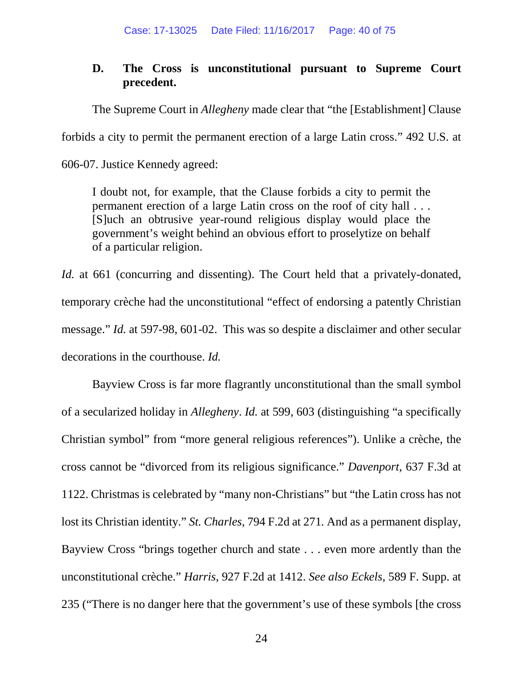# **D. The Cross is unconstitutional pursuant to Supreme Court precedent.**

The Supreme Court in *Allegheny* made clear that "the [Establishment] Clause

forbids a city to permit the permanent erection of a large Latin cross." 492 U.S. at

606-07. Justice Kennedy agreed:

I doubt not, for example, that the Clause forbids a city to permit the permanent erection of a large Latin cross on the roof of city hall . . . [S]uch an obtrusive year-round religious display would place the government's weight behind an obvious effort to proselytize on behalf of a particular religion.

*Id.* at 661 (concurring and dissenting). The Court held that a privately-donated, temporary crèche had the unconstitutional "effect of endorsing a patently Christian message." *Id.* at 597-98, 601-02. This was so despite a disclaimer and other secular decorations in the courthouse. *Id.* 

Bayview Cross is far more flagrantly unconstitutional than the small symbol of a secularized holiday in *Allegheny*. *Id.* at 599, 603 (distinguishing "a specifically Christian symbol" from "more general religious references"). Unlike a crèche, the cross cannot be "divorced from its religious significance." *Davenport*, 637 F.3d at 1122. Christmas is celebrated by "many non-Christians" but "the Latin cross has not lost its Christian identity." *St. Charles*, 794 F.2d at 271*.* And as a permanent display, Bayview Cross "brings together church and state . . . even more ardently than the unconstitutional crèche." *Harris*, 927 F.2d at 1412. *See also Eckels*, 589 F. Supp. at 235 ("There is no danger here that the government's use of these symbols [the cross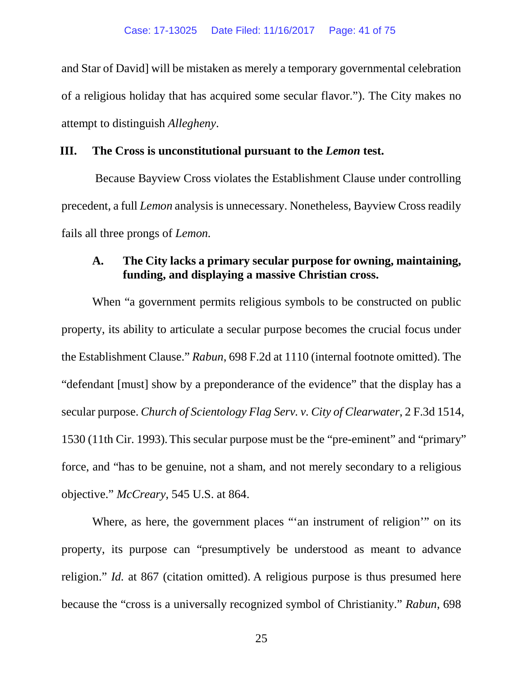and Star of David] will be mistaken as merely a temporary governmental celebration of a religious holiday that has acquired some secular flavor."). The City makes no attempt to distinguish *Allegheny*.

## **III. The Cross is unconstitutional pursuant to the** *Lemon* **test.**

Because Bayview Cross violates the Establishment Clause under controlling precedent, a full *Lemon* analysis is unnecessary. Nonetheless, Bayview Cross readily fails all three prongs of *Lemon.* 

# **A. The City lacks a primary secular purpose for owning, maintaining, funding, and displaying a massive Christian cross.**

When "a government permits religious symbols to be constructed on public property, its ability to articulate a secular purpose becomes the crucial focus under the Establishment Clause." *Rabun*, 698 F.2d at 1110 (internal footnote omitted). The "defendant [must] show by a preponderance of the evidence" that the display has a secular purpose. *Church of Scientology Flag Serv. v. City of Clearwater*, 2 F.3d 1514, 1530 (11th Cir. 1993).This secular purpose must be the "pre-eminent" and "primary" force, and "has to be genuine, not a sham, and not merely secondary to a religious objective." *McCreary*, 545 U.S. at 864.

Where, as here, the government places "'an instrument of religion'" on its property, its purpose can "presumptively be understood as meant to advance religion." *Id.* at 867 (citation omitted). A religious purpose is thus presumed here because the "cross is a universally recognized symbol of Christianity." *Rabun*, 698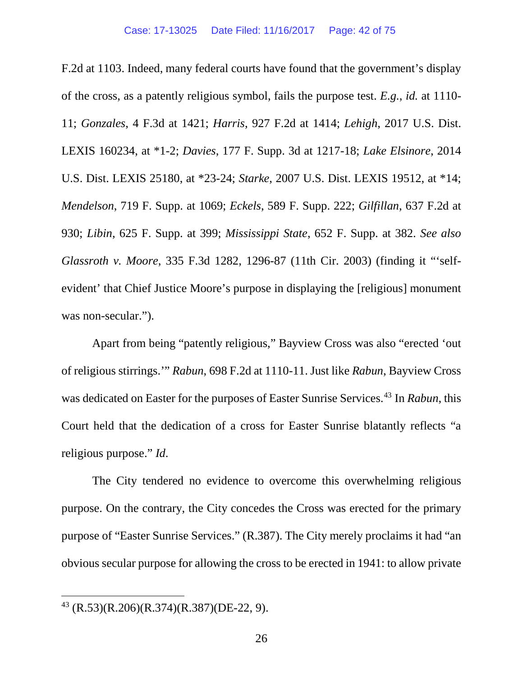F.2d at 1103. Indeed, many federal courts have found that the government's display of the cross, as a patently religious symbol, fails the purpose test. *E.g.*, *id.* at 1110- 11; *Gonzales*, 4 F.3d at 1421; *Harris*, 927 F.2d at 1414; *Lehigh*, 2017 U.S. Dist. LEXIS 160234, at \*1-2; *Davies*, 177 F. Supp. 3d at 1217-18; *Lake Elsinore*, 2014 U.S. Dist. LEXIS 25180, at \*23-24; *Starke*, 2007 U.S. Dist. LEXIS 19512, at \*14; *Mendelson*, 719 F. Supp. at 1069; *Eckels*, 589 F. Supp. 222; *Gilfillan*, 637 F.2d at 930; *Libin*, 625 F. Supp. at 399; *Mississippi State*, 652 F. Supp. at 382. *See also Glassroth v. Moore*, 335 F.3d 1282, 1296-87 (11th Cir. 2003) (finding it "'selfevident' that Chief Justice Moore's purpose in displaying the [religious] monument was non-secular.").

Apart from being "patently religious," Bayview Cross was also "erected 'out of religious stirrings.'" *Rabun*, 698 F.2d at 1110-11. Just like *Rabun*, Bayview Cross was dedicated on Easter for the purposes of Easter Sunrise Services.[43](#page-41-0) In *Rabun*, this Court held that the dedication of a cross for Easter Sunrise blatantly reflects "a religious purpose." *Id*.

The City tendered no evidence to overcome this overwhelming religious purpose. On the contrary, the City concedes the Cross was erected for the primary purpose of "Easter Sunrise Services." (R.387). The City merely proclaims it had "an obvious secular purpose for allowing the cross to be erected in 1941: to allow private

<span id="page-41-0"></span> <sup>43</sup> (R.53)(R.206)(R.374)(R.387)(DE-22, 9).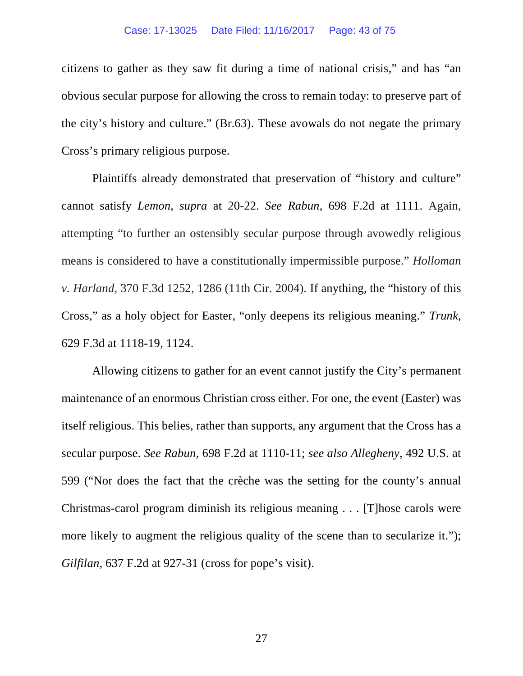citizens to gather as they saw fit during a time of national crisis," and has "an obvious secular purpose for allowing the cross to remain today: to preserve part of the city's history and culture." (Br.63). These avowals do not negate the primary Cross's primary religious purpose.

Plaintiffs already demonstrated that preservation of "history and culture" cannot satisfy *Lemon*, *supra* at 20-22. *See Rabun*, 698 F.2d at 1111. Again, attempting "to further an ostensibly secular purpose through avowedly religious means is considered to have a constitutionally impermissible purpose." *Holloman v. Harland*, 370 F.3d 1252, 1286 (11th Cir. 2004)*.* If anything, the "history of this Cross," as a holy object for Easter, "only deepens its religious meaning." *Trunk*, 629 F.3d at 1118-19, 1124.

Allowing citizens to gather for an event cannot justify the City's permanent maintenance of an enormous Christian cross either. For one, the event (Easter) was itself religious. This belies, rather than supports, any argument that the Cross has a secular purpose. *See Rabun*, 698 F.2d at 1110-11; *see also Allegheny*, 492 U.S. at 599 ("Nor does the fact that the crèche was the setting for the county's annual Christmas-carol program diminish its religious meaning . . . [T]hose carols were more likely to augment the religious quality of the scene than to secularize it."); *Gilfilan*, 637 F.2d at 927-31 (cross for pope's visit).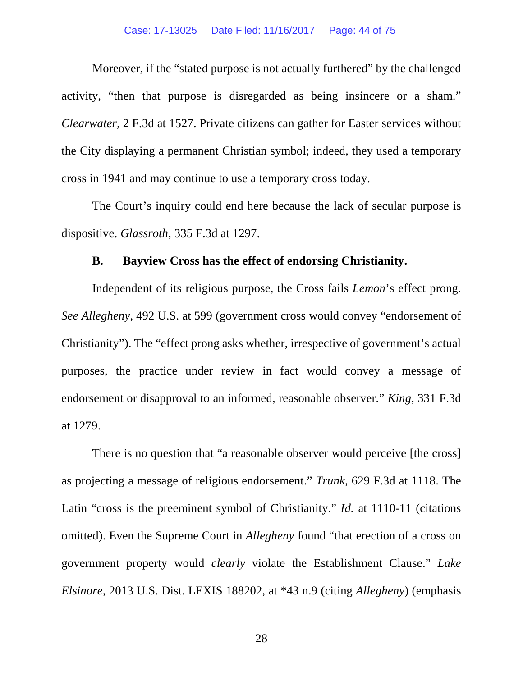Moreover, if the "stated purpose is not actually furthered" by the challenged activity, "then that purpose is disregarded as being insincere or a sham." *Clearwater*, 2 F.3d at 1527. Private citizens can gather for Easter services without the City displaying a permanent Christian symbol; indeed, they used a temporary cross in 1941 and may continue to use a temporary cross today.

The Court's inquiry could end here because the lack of secular purpose is dispositive. *Glassroth*, 335 F.3d at 1297.

# **B. Bayview Cross has the effect of endorsing Christianity.**

Independent of its religious purpose, the Cross fails *Lemon*'s effect prong. *See Allegheny*, 492 U.S. at 599 (government cross would convey "endorsement of Christianity"). The "effect prong asks whether, irrespective of government's actual purposes, the practice under review in fact would convey a message of endorsement or disapproval to an informed, reasonable observer." *King*, 331 F.3d at 1279.

There is no question that "a reasonable observer would perceive [the cross] as projecting a message of religious endorsement." *Trunk*, 629 F.3d at 1118. The Latin "cross is the preeminent symbol of Christianity." *Id.* at 1110-11 (citations omitted). Even the Supreme Court in *Allegheny* found "that erection of a cross on government property would *clearly* violate the Establishment Clause." *Lake Elsinore*, 2013 U.S. Dist. LEXIS 188202, at \*43 n.9 (citing *Allegheny*) (emphasis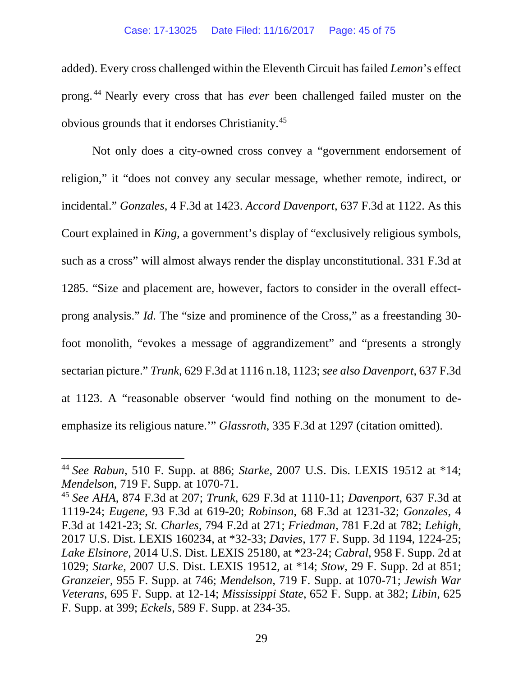added). Every cross challenged within the Eleventh Circuit has failed *Lemon*'s effect prong. [44](#page-44-0) Nearly every cross that has *ever* been challenged failed muster on the obvious grounds that it endorses Christianity. [45](#page-44-1)

Not only does a city-owned cross convey a "government endorsement of religion," it "does not convey any secular message, whether remote, indirect, or incidental." *Gonzales*, 4 F.3d at 1423. *Accord Davenport*, 637 F.3d at 1122. As this Court explained in *King*, a government's display of "exclusively religious symbols, such as a cross" will almost always render the display unconstitutional. 331 F.3d at 1285. "Size and placement are, however, factors to consider in the overall effectprong analysis." *Id.* The "size and prominence of the Cross," as a freestanding 30 foot monolith, "evokes a message of aggrandizement" and "presents a strongly sectarian picture." *Trunk*, 629 F.3d at 1116 n.18, 1123; *see also Davenport*, 637 F.3d at 1123. A "reasonable observer 'would find nothing on the monument to deemphasize its religious nature.'" *Glassroth*, 335 F.3d at 1297 (citation omitted).

<span id="page-44-0"></span> <sup>44</sup> *See Rabun*, 510 F. Supp. at 886; *Starke*, 2007 U.S. Dis. LEXIS 19512 at \*14; *Mendelson*, 719 F. Supp. at 1070-71.

<span id="page-44-1"></span><sup>45</sup> *See AHA*, 874 F.3d at 207; *Trunk*, 629 F.3d at 1110-11; *Davenport*, 637 F.3d at 1119-24; *Eugene*, 93 F.3d at 619-20; *Robinson*, 68 F.3d at 1231-32; *Gonzales*, 4 F.3d at 1421-23; *St. Charles*, 794 F.2d at 271; *Friedman*, 781 F.2d at 782; *Lehigh*, 2017 U.S. Dist. LEXIS 160234, at \*32-33; *Davies*, 177 F. Supp. 3d 1194, 1224-25; *Lake Elsinore*, 2014 U.S. Dist. LEXIS 25180, at \*23-24; *Cabral*, 958 F. Supp. 2d at 1029; *Starke*, 2007 U.S. Dist. LEXIS 19512, at \*14; *Stow*, 29 F. Supp. 2d at 851; *Granzeier*, 955 F. Supp. at 746; *Mendelson*, 719 F. Supp. at 1070-71; *Jewish War Veterans*, 695 F. Supp. at 12-14; *Mississippi State*, 652 F. Supp. at 382; *Libin*, 625 F. Supp. at 399; *Eckels*, 589 F. Supp. at 234-35.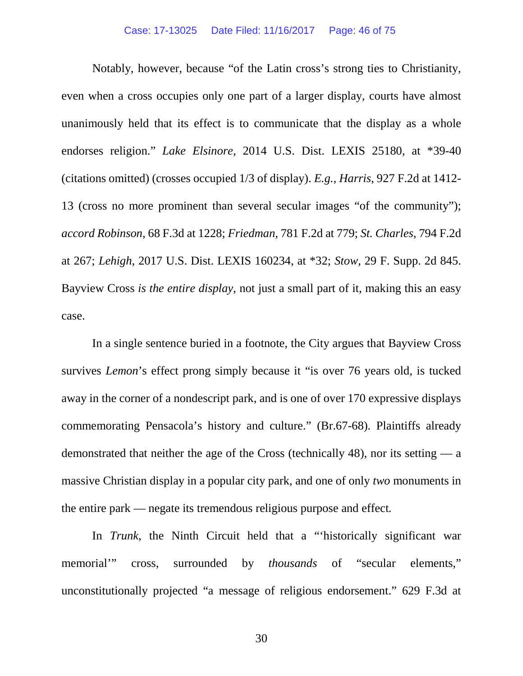Notably, however, because "of the Latin cross's strong ties to Christianity, even when a cross occupies only one part of a larger display, courts have almost unanimously held that its effect is to communicate that the display as a whole endorses religion." *Lake Elsinore*, 2014 U.S. Dist. LEXIS 25180, at \*39-40 (citations omitted) (crosses occupied 1/3 of display). *E.g.*, *Harris*, 927 F.2d at 1412- 13 (cross no more prominent than several secular images "of the community"); *accord Robinson*, 68 F.3d at 1228; *Friedman*, 781 F.2d at 779; *St. Charles*, 794 F.2d at 267; *Lehigh*, 2017 U.S. Dist. LEXIS 160234, at \*32; *Stow*, 29 F. Supp. 2d 845. Bayview Cross *is the entire display*, not just a small part of it, making this an easy case.

In a single sentence buried in a footnote, the City argues that Bayview Cross survives *Lemon*'s effect prong simply because it "is over 76 years old, is tucked away in the corner of a nondescript park, and is one of over 170 expressive displays commemorating Pensacola's history and culture." (Br.67-68). Plaintiffs already demonstrated that neither the age of the Cross (technically 48), nor its setting — a massive Christian display in a popular city park, and one of only *two* monuments in the entire park — negate its tremendous religious purpose and effect*.* 

In *Trunk*, the Ninth Circuit held that a "'historically significant war memorial'" cross, surrounded by *thousands* of "secular elements," unconstitutionally projected "a message of religious endorsement." 629 F.3d at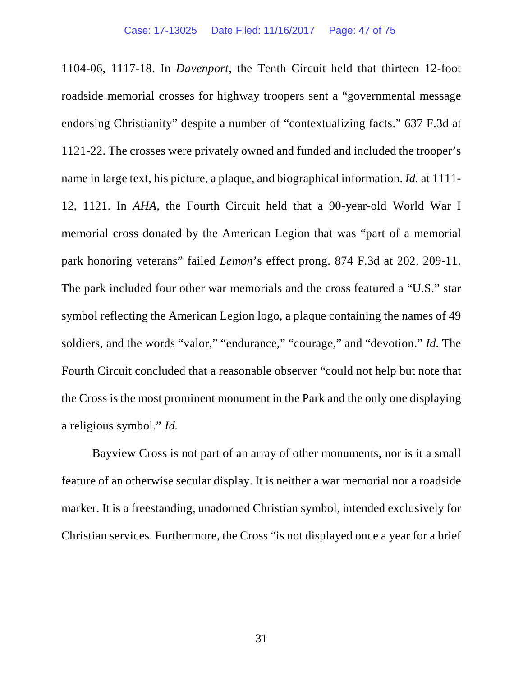1104-06, 1117-18. In *Davenport*, the Tenth Circuit held that thirteen 12-foot roadside memorial crosses for highway troopers sent a "governmental message endorsing Christianity" despite a number of "contextualizing facts." 637 F.3d at 1121-22. The crosses were privately owned and funded and included the trooper's name in large text, his picture, a plaque, and biographical information. *Id.* at 1111- 12, 1121. In *AHA*, the Fourth Circuit held that a 90-year-old World War I memorial cross donated by the American Legion that was "part of a memorial park honoring veterans" failed *Lemon*'s effect prong. 874 F.3d at 202, 209-11. The park included four other war memorials and the cross featured a "U.S." star symbol reflecting the American Legion logo, a plaque containing the names of 49 soldiers, and the words "valor," "endurance," "courage," and "devotion." *Id.* The Fourth Circuit concluded that a reasonable observer "could not help but note that the Cross is the most prominent monument in the Park and the only one displaying a religious symbol." *Id.*

Bayview Cross is not part of an array of other monuments, nor is it a small feature of an otherwise secular display. It is neither a war memorial nor a roadside marker. It is a freestanding, unadorned Christian symbol, intended exclusively for Christian services. Furthermore, the Cross "is not displayed once a year for a brief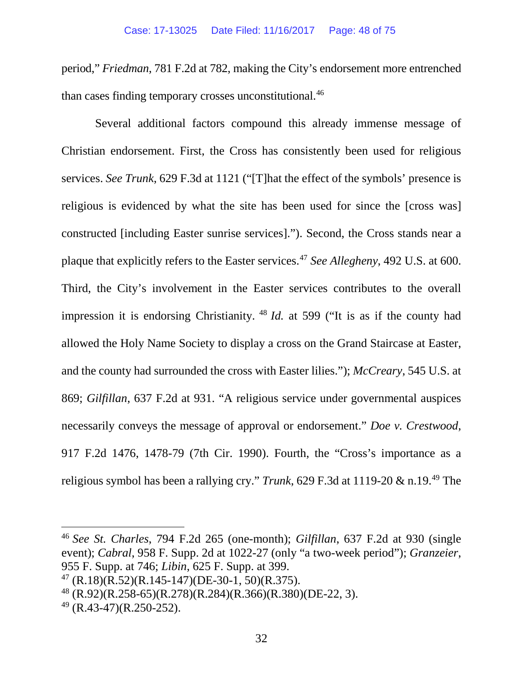period," *Friedman*, 781 F.2d at 782, making the City's endorsement more entrenched than cases finding temporary crosses unconstitutional.<sup>46</sup>

Several additional factors compound this already immense message of Christian endorsement. First, the Cross has consistently been used for religious services. *See Trunk*, 629 F.3d at 1121 ("[T]hat the effect of the symbols' presence is religious is evidenced by what the site has been used for since the [cross was] constructed [including Easter sunrise services]."). Second, the Cross stands near a plaque that explicitly refers to the Easter services.[47](#page-47-1) *See Allegheny*, 492 U.S. at 600. Third, the City's involvement in the Easter services contributes to the overall impression it is endorsing Christianity. [48](#page-47-2) *Id.* at 599 ("It is as if the county had allowed the Holy Name Society to display a cross on the Grand Staircase at Easter, and the county had surrounded the cross with Easter lilies."); *McCreary*, 545 U.S. at 869; *Gilfillan*, 637 F.2d at 931. "A religious service under governmental auspices necessarily conveys the message of approval or endorsement." *Doe v. Crestwood*, 917 F.2d 1476, 1478-79 (7th Cir. 1990). Fourth, the "Cross's importance as a religious symbol has been a rallying cry." *Trunk*, 629 F.3d at 1119-20 & n.19.[49](#page-47-3) The

<span id="page-47-0"></span> 46 *See St. Charles*, 794 F.2d 265 (one-month); *Gilfillan*, 637 F.2d at 930 (single event); *Cabral*, 958 F. Supp. 2d at 1022-27 (only "a two-week period"); *Granzeier*, 955 F. Supp. at 746; *Libin*, 625 F. Supp. at 399.

<span id="page-47-1"></span> $^{47}$  (R.18)(R.52)(R.145-147)(DE-30-1, 50)(R.375).

<span id="page-47-2"></span> $^{48}$  (R.92)(R.258-65)(R.278)(R.284)(R.366)(R.380)(DE-22, 3).

<span id="page-47-3"></span> $49$  (R.43-47)(R.250-252).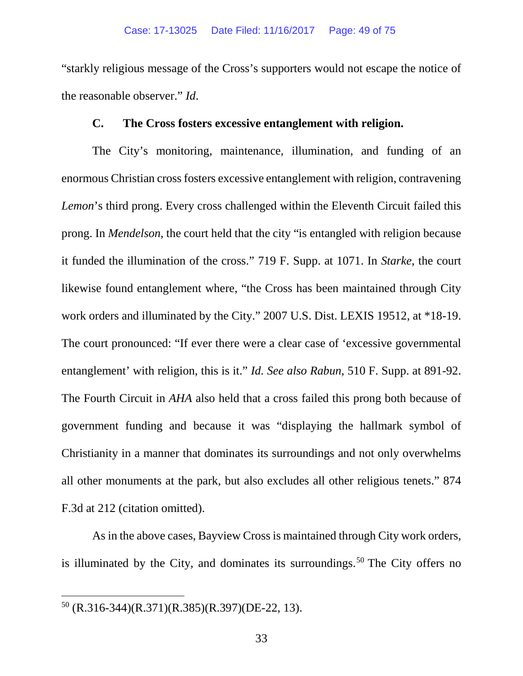"starkly religious message of the Cross's supporters would not escape the notice of the reasonable observer." *Id*.

## **C. The Cross fosters excessive entanglement with religion.**

The City's monitoring, maintenance, illumination, and funding of an enormous Christian cross fosters excessive entanglement with religion, contravening *Lemon*'s third prong. Every cross challenged within the Eleventh Circuit failed this prong. In *Mendelson*, the court held that the city "is entangled with religion because it funded the illumination of the cross." 719 F. Supp. at 1071. In *Starke*, the court likewise found entanglement where, "the Cross has been maintained through City work orders and illuminated by the City." 2007 U.S. Dist. LEXIS 19512, at \*18-19. The court pronounced: "If ever there were a clear case of 'excessive governmental entanglement' with religion, this is it." *Id. See also Rabun*, 510 F. Supp. at 891-92. The Fourth Circuit in *AHA* also held that a cross failed this prong both because of government funding and because it was "displaying the hallmark symbol of Christianity in a manner that dominates its surroundings and not only overwhelms all other monuments at the park, but also excludes all other religious tenets." 874 F.3d at 212 (citation omitted).

As in the above cases, Bayview Cross is maintained through City work orders, is illuminated by the City, and dominates its surroundings.<sup>[50](#page-48-0)</sup> The City offers no

<span id="page-48-0"></span> <sup>50</sup> (R.316-344)(R.371)(R.385)(R.397)(DE-22, 13).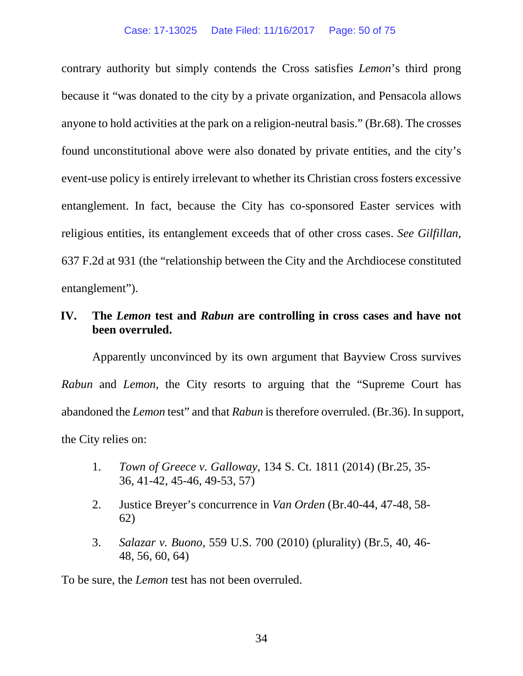contrary authority but simply contends the Cross satisfies *Lemon*'s third prong because it "was donated to the city by a private organization, and Pensacola allows anyone to hold activities at the park on a religion-neutral basis." (Br.68). The crosses found unconstitutional above were also donated by private entities, and the city's event-use policy is entirely irrelevant to whether its Christian cross fosters excessive entanglement. In fact, because the City has co-sponsored Easter services with religious entities, its entanglement exceeds that of other cross cases. *See Gilfillan*, 637 F.2d at 931 (the "relationship between the City and the Archdiocese constituted entanglement").

## **IV. The** *Lemon* **test and** *Rabun* **are controlling in cross cases and have not been overruled.**

Apparently unconvinced by its own argument that Bayview Cross survives *Rabun* and *Lemon*, the City resorts to arguing that the "Supreme Court has abandoned the *Lemon* test" and that *Rabun* is therefore overruled. (Br.36). In support, the City relies on:

- 1. *Town of Greece v. Galloway*, 134 S. Ct. 1811 (2014) (Br.25, 35- 36, 41-42, 45-46, 49-53, 57)
- 2. Justice Breyer's concurrence in *Van Orden* (Br.40-44, 47-48, 58- 62)
- 3. *Salazar v. Buono*, 559 U.S. 700 (2010) (plurality) (Br.5, 40, 46- 48, 56, 60, 64)

To be sure, the *Lemon* test has not been overruled.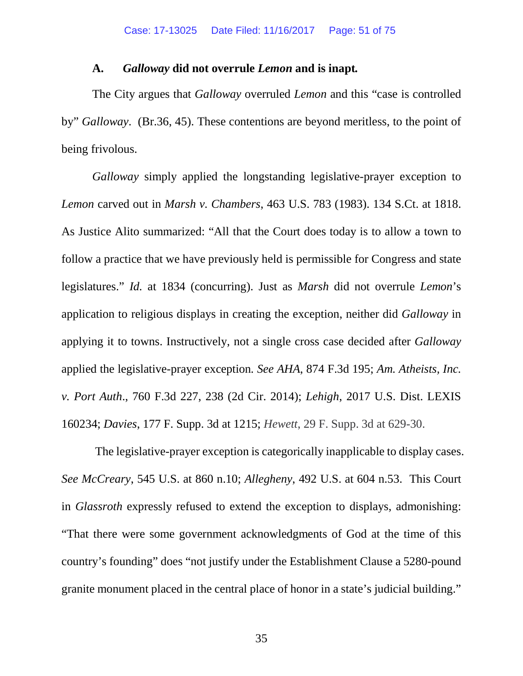### **A.** *Galloway* **did not overrule** *Lemon* **and is inapt***.*

The City argues that *Galloway* overruled *Lemon* and this "case is controlled by" *Galloway*. (Br.36, 45). These contentions are beyond meritless, to the point of being frivolous.

*Galloway* simply applied the longstanding legislative-prayer exception to *Lemon* carved out in *Marsh v. Chambers*, 463 U.S. 783 (1983). 134 S.Ct. at 1818. As Justice Alito summarized: "All that the Court does today is to allow a town to follow a practice that we have previously held is permissible for Congress and state legislatures." *Id.* at 1834 (concurring). Just as *Marsh* did not overrule *Lemon*'s application to religious displays in creating the exception, neither did *Galloway* in applying it to towns. Instructively, not a single cross case decided after *Galloway* applied the legislative-prayer exception*. See AHA*, 874 F.3d 195; *Am. Atheists, Inc. v. Port Auth*., 760 F.3d 227, 238 (2d Cir. 2014); *Lehigh*, 2017 U.S. Dist. LEXIS 160234; *Davies*, 177 F. Supp. 3d at 1215; *Hewett*, 29 F. Supp. 3d at 629-30.

The legislative-prayer exception is categorically inapplicable to display cases. *See McCreary*, 545 U.S. at 860 n.10; *Allegheny*, 492 U.S. at 604 n.53. This Court in *Glassroth* expressly refused to extend the exception to displays, admonishing: "That there were some government acknowledgments of God at the time of this country's founding" does "not justify under the Establishment Clause a 5280-pound granite monument placed in the central place of honor in a state's judicial building."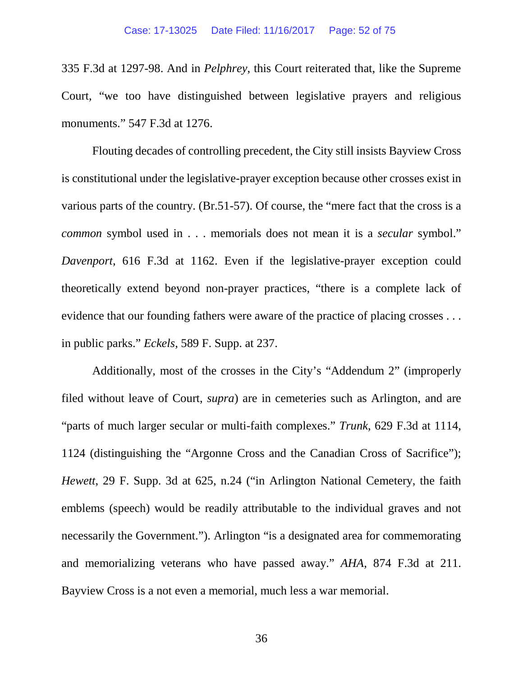335 F.3d at 1297-98. And in *Pelphrey*, this Court reiterated that, like the Supreme Court, "we too have distinguished between legislative prayers and religious monuments." 547 F.3d at 1276.

Flouting decades of controlling precedent, the City still insists Bayview Cross is constitutional under the legislative-prayer exception because other crosses exist in various parts of the country. (Br.51-57). Of course, the "mere fact that the cross is a *common* symbol used in . . . memorials does not mean it is a *secular* symbol." *Davenport*, 616 F.3d at 1162. Even if the legislative-prayer exception could theoretically extend beyond non-prayer practices, "there is a complete lack of evidence that our founding fathers were aware of the practice of placing crosses . . . in public parks." *Eckels*, 589 F. Supp. at 237.

Additionally, most of the crosses in the City's "Addendum 2" (improperly filed without leave of Court, *supra*) are in cemeteries such as Arlington, and are "parts of much larger secular or multi-faith complexes." *Trunk*, 629 F.3d at 1114, 1124 (distinguishing the "Argonne Cross and the Canadian Cross of Sacrifice"); *Hewett*, 29 F. Supp. 3d at 625, n.24 ("in Arlington National Cemetery, the faith emblems (speech) would be readily attributable to the individual graves and not necessarily the Government."). Arlington "is a designated area for commemorating and memorializing veterans who have passed away." *AHA*, 874 F.3d at 211. Bayview Cross is a not even a memorial, much less a war memorial.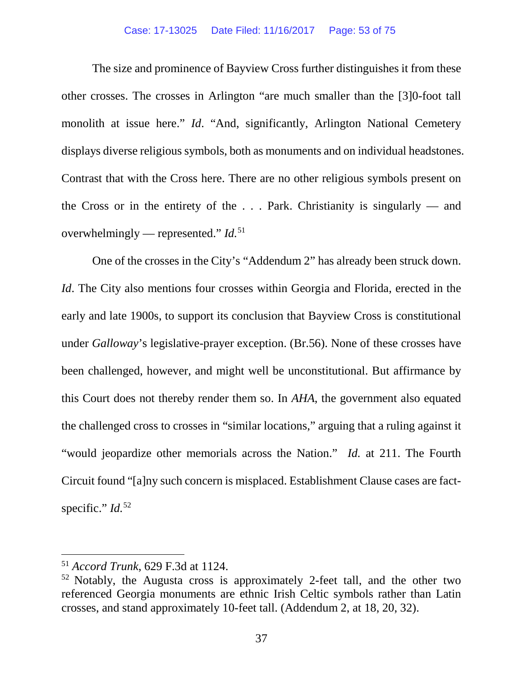#### Case: 17-13025 Date Filed: 11/16/2017 Page: 53 of 75

The size and prominence of Bayview Cross further distinguishes it from these other crosses. The crosses in Arlington "are much smaller than the [3]0-foot tall monolith at issue here." *Id*. "And, significantly, Arlington National Cemetery displays diverse religious symbols, both as monuments and on individual headstones. Contrast that with the Cross here. There are no other religious symbols present on the Cross or in the entirety of the . . . Park. Christianity is singularly — and overwhelmingly — represented." *Id.* [51](#page-52-0)

One of the crosses in the City's "Addendum 2" has already been struck down. *Id*. The City also mentions four crosses within Georgia and Florida, erected in the early and late 1900s, to support its conclusion that Bayview Cross is constitutional under *Galloway*'s legislative-prayer exception. (Br.56). None of these crosses have been challenged, however, and might well be unconstitutional. But affirmance by this Court does not thereby render them so. In *AHA*, the government also equated the challenged cross to crosses in "similar locations," arguing that a ruling against it "would jeopardize other memorials across the Nation." *Id.* at 211. The Fourth Circuit found "[a]ny such concern is misplaced. Establishment Clause cases are factspecific." *Id.* [52](#page-52-1)

<span id="page-52-0"></span> <sup>51</sup> *Accord Trunk*, 629 F.3d at 1124.

<span id="page-52-1"></span><sup>52</sup> Notably, the Augusta cross is approximately 2-feet tall, and the other two referenced Georgia monuments are ethnic Irish Celtic symbols rather than Latin crosses, and stand approximately 10-feet tall. (Addendum 2, at 18, 20, 32).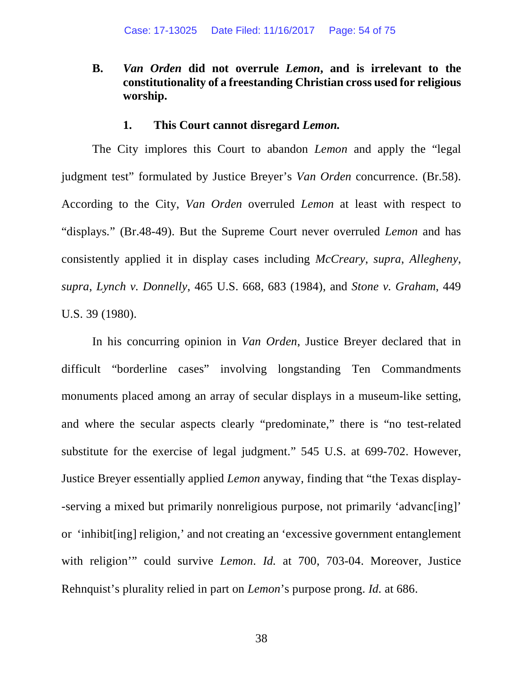# **B.** *Van Orden* **did not overrule** *Lemon***, and is irrelevant to the constitutionality of a freestanding Christian cross used for religious worship.**

### **1. This Court cannot disregard** *Lemon.*

The City implores this Court to abandon *Lemon* and apply the "legal judgment test" formulated by Justice Breyer's *Van Orden* concurrence. (Br.58). According to the City, *Van Orden* overruled *Lemon* at least with respect to "displays*.*" (Br.48-49). But the Supreme Court never overruled *Lemon* and has consistently applied it in display cases including *McCreary*, *supra*, *Allegheny*, *supra*, *Lynch v. Donnelly*, 465 U.S. 668, 683 (1984), and *Stone v. Graham*, 449 U.S. 39 (1980).

In his concurring opinion in *Van Orden*, Justice Breyer declared that in difficult "borderline cases" involving longstanding Ten Commandments monuments placed among an array of secular displays in a museum-like setting, and where the secular aspects clearly "predominate," there is "no test-related substitute for the exercise of legal judgment." 545 U.S. at 699-702. However, Justice Breyer essentially applied *Lemon* anyway, finding that "the Texas display- -serving a mixed but primarily nonreligious purpose, not primarily 'advanc $\lceil \text{ing} \rceil$ ' or 'inhibit[ing] religion,' and not creating an 'excessive government entanglement with religion'" could survive *Lemon*. *Id.* at 700, 703-04. Moreover, Justice Rehnquist's plurality relied in part on *Lemon*'s purpose prong. *Id.* at 686.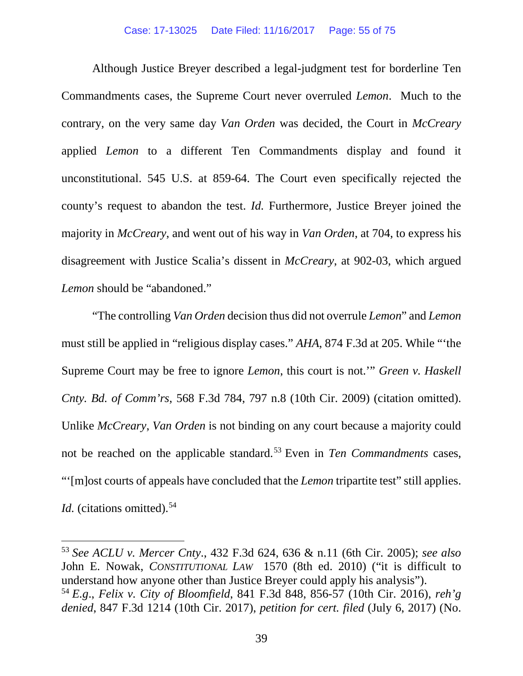Although Justice Breyer described a legal-judgment test for borderline Ten Commandments cases, the Supreme Court never overruled *Lemon*. Much to the contrary, on the very same day *Van Orden* was decided, the Court in *McCreary* applied *Lemon* to a different Ten Commandments display and found it unconstitutional. 545 U.S. at 859-64. The Court even specifically rejected the county's request to abandon the test. *Id.* Furthermore, Justice Breyer joined the majority in *McCreary*, and went out of his way in *Van Orden*, at 704, to express his disagreement with Justice Scalia's dissent in *McCreary*, at 902-03, which argued *Lemon* should be "abandoned."

"The controlling *Van Orden* decision thus did not overrule *Lemon*" and *Lemon*  must still be applied in "religious display cases." *AHA*, 874 F.3d at 205. While "'the Supreme Court may be free to ignore *Lemon*, this court is not.'" *Green v. Haskell Cnty. Bd. of Comm'rs*, 568 F.3d 784, 797 n.8 (10th Cir. 2009) (citation omitted). Unlike *McCreary*, *Van Orden* is not binding on any court because a majority could not be reached on the applicable standard. [53](#page-54-0) Even in *Ten Commandments* cases, "'[m]ost courts of appeals have concluded that the *Lemon* tripartite test" still applies. *Id.* (citations omitted).<sup>[54](#page-54-1)</sup>

<span id="page-54-0"></span> <sup>53</sup> *See ACLU v. Mercer Cnty*., 432 F.3d 624, 636 & n.11 (6th Cir. 2005); *see also* John E. Nowak, *CONSTITUTIONAL LAW* 1570 (8th ed. 2010) ("it is difficult to understand how anyone other than Justice Breyer could apply his analysis").

<span id="page-54-1"></span><sup>54</sup> *E.g*., *Felix v. City of Bloomfield*, 841 F.3d 848, 856-57 (10th Cir. 2016), *reh'g denied*, 847 F.3d 1214 (10th Cir. 2017), *petition for cert. filed* (July 6, 2017) (No.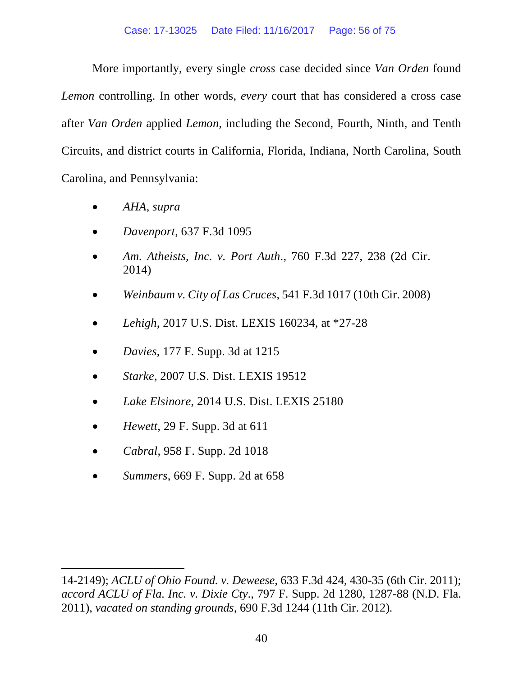More importantly, every single *cross* case decided since *Van Orden* found *Lemon* controlling. In other words, *every* court that has considered a cross case after *Van Orden* applied *Lemon*, including the Second, Fourth, Ninth, and Tenth Circuits, and district courts in California, Florida, Indiana, North Carolina, South Carolina, and Pennsylvania:

- *AHA*, *supra*
- *Davenport*, 637 F.3d 1095
- *Am. Atheists, Inc. v. Port Auth*., 760 F.3d 227, 238 (2d Cir. 2014)
- *Weinbaum v. City of Las Cruces*, 541 F.3d 1017 (10th Cir. 2008)
- *Lehigh*, 2017 U.S. Dist. LEXIS 160234, at \*27-28
- *Davies*, 177 F. Supp. 3d at 1215
- *Starke*, 2007 U.S. Dist. LEXIS 19512
- *Lake Elsinore*, 2014 U.S. Dist. LEXIS 25180
- *Hewett*, 29 F. Supp. 3d at 611
- *Cabral*, 958 F. Supp. 2d 1018

 $\overline{a}$ 

• *Summers*, 669 F. Supp. 2d at 658

<sup>14-2149);</sup> *ACLU of Ohio Found. v. Deweese*, 633 F.3d 424, 430-35 (6th Cir. 2011); *accord ACLU of Fla. Inc. v. Dixie Cty*., 797 F. Supp. 2d 1280, 1287-88 (N.D. Fla. 2011), *vacated on standing grounds*, 690 F.3d 1244 (11th Cir. 2012)*.*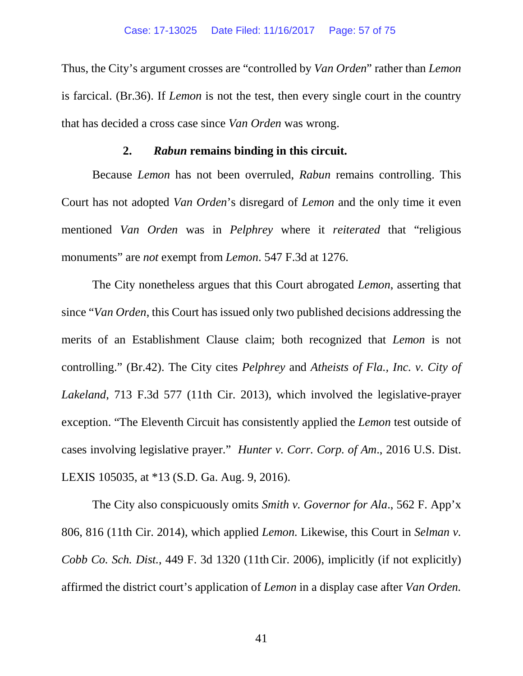Thus, the City's argument crosses are "controlled by *Van Orden*" rather than *Lemon* is farcical. (Br.36). If *Lemon* is not the test, then every single court in the country that has decided a cross case since *Van Orden* was wrong.

## **2.** *Rabun* **remains binding in this circuit.**

Because *Lemon* has not been overruled, *Rabun* remains controlling. This Court has not adopted *Van Orden*'s disregard of *Lemon* and the only time it even mentioned *Van Orden* was in *Pelphrey* where it *reiterated* that "religious monuments" are *not* exempt from *Lemon*. 547 F.3d at 1276.

The City nonetheless argues that this Court abrogated *Lemon*, asserting that since "*Van Orden*, this Court has issued only two published decisions addressing the merits of an Establishment Clause claim; both recognized that *Lemon* is not controlling." (Br.42). The City cites *Pelphrey* and *Atheists of Fla., Inc. v. City of Lakeland*, 713 F.3d 577 (11th Cir. 2013), which involved the legislative-prayer exception. "The Eleventh Circuit has consistently applied the *Lemon* test outside of cases involving legislative prayer." *Hunter v. Corr. Corp. of Am*., 2016 U.S. Dist. LEXIS 105035, at \*13 (S.D. Ga. Aug. 9, 2016).

The City also conspicuously omits *Smith v. Governor for Ala*., 562 F. App'x 806, 816 (11th Cir. 2014), which applied *Lemon.* Likewise, this Court in *Selman v. Cobb Co. Sch. Dist.*, 449 F. 3d 1320 (11th Cir. 2006), implicitly (if not explicitly) affirmed the district court's application of *Lemon* in a display case after *Van Orden.*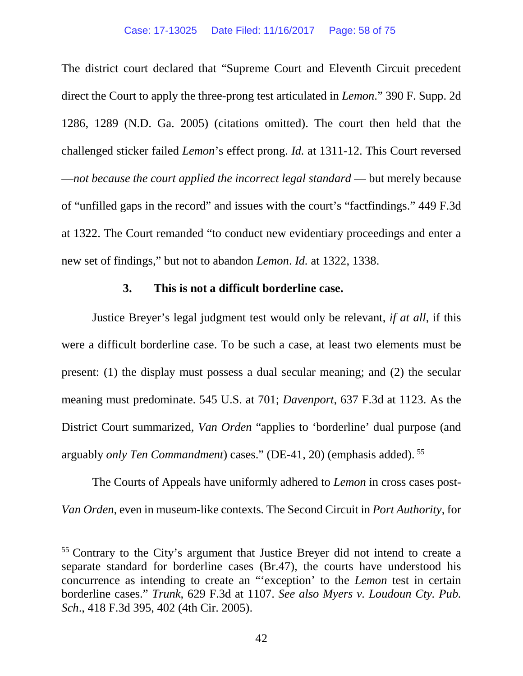The district court declared that "Supreme Court and Eleventh Circuit precedent direct the Court to apply the three-prong test articulated in *Lemon*." 390 F. Supp. 2d 1286, 1289 (N.D. Ga. 2005) (citations omitted). The court then held that the challenged sticker failed *Lemon*'s effect prong. *Id.* at 1311-12. This Court reversed —*not because the court applied the incorrect legal standard* — but merely because of "unfilled gaps in the record" and issues with the court's "factfindings." 449 F.3d at 1322. The Court remanded "to conduct new evidentiary proceedings and enter a new set of findings," but not to abandon *Lemon*. *Id.* at 1322, 1338.

## **3. This is not a difficult borderline case.**

Justice Breyer's legal judgment test would only be relevant, *if at all*, if this were a difficult borderline case. To be such a case, at least two elements must be present: (1) the display must possess a dual secular meaning; and (2) the secular meaning must predominate. 545 U.S. at 701; *Davenport*, 637 F.3d at 1123. As the District Court summarized, *Van Orden* "applies to 'borderline' dual purpose (and arguably *only Ten Commandment*) cases." (DE-41, 20) (emphasis added). [55](#page-57-0)

The Courts of Appeals have uniformly adhered to *Lemon* in cross cases post-*Van Orden*, even in museum-like contexts*.* The Second Circuit in *Port Authority*, for

<span id="page-57-0"></span> <sup>55</sup> Contrary to the City's argument that Justice Breyer did not intend to create a separate standard for borderline cases (Br.47), the courts have understood his concurrence as intending to create an "'exception' to the *Lemon* test in certain borderline cases." *Trunk*, 629 F.3d at 1107. *See also Myers v. Loudoun Cty. Pub. Sch*., 418 F.3d 395, 402 (4th Cir. 2005).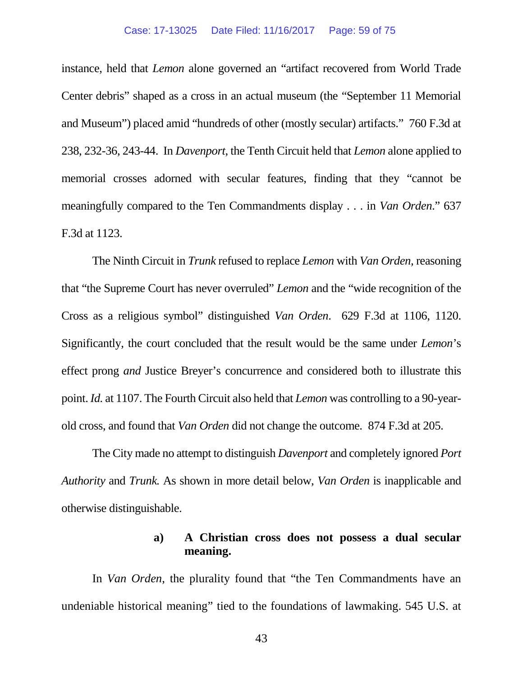#### Case: 17-13025 Date Filed: 11/16/2017 Page: 59 of 75

instance, held that *Lemon* alone governed an "artifact recovered from World Trade Center debris" shaped as a cross in an actual museum (the "September 11 Memorial and Museum") placed amid "hundreds of other (mostly secular) artifacts." 760 F.3d at 238, 232-36, 243-44. In *Davenport*, the Tenth Circuit held that *Lemon* alone applied to memorial crosses adorned with secular features, finding that they "cannot be meaningfully compared to the Ten Commandments display . . . in *Van Orden*." 637 F.3d at 1123.

The Ninth Circuit in *Trunk* refused to replace *Lemon* with *Van Orden,* reasoning that "the Supreme Court has never overruled" *Lemon* and the "wide recognition of the Cross as a religious symbol" distinguished *Van Orden*. 629 F.3d at 1106, 1120. Significantly, the court concluded that the result would be the same under *Lemon*'s effect prong *and* Justice Breyer's concurrence and considered both to illustrate this point. *Id.* at 1107. The Fourth Circuit also held that *Lemon* was controlling to a 90-yearold cross, and found that *Van Orden* did not change the outcome. 874 F.3d at 205.

The City made no attempt to distinguish *Davenport* and completely ignored *Port Authority* and *Trunk.* As shown in more detail below, *Van Orden* is inapplicable and otherwise distinguishable.

## **a) A Christian cross does not possess a dual secular meaning.**

In *Van Orden*, the plurality found that "the Ten Commandments have an undeniable historical meaning" tied to the foundations of lawmaking. 545 U.S. at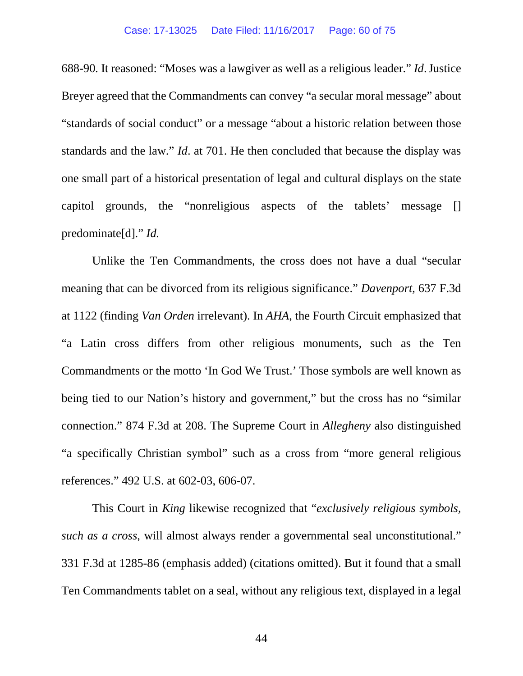688-90*.* It reasoned: "Moses was a lawgiver as well as a religious leader." *Id*.Justice Breyer agreed that the Commandments can convey "a secular moral message" about "standards of social conduct" or a message "about a historic relation between those standards and the law." *Id*. at 701. He then concluded that because the display was one small part of a historical presentation of legal and cultural displays on the state capitol grounds, the "nonreligious aspects of the tablets' message [] predominate[d]." *Id.*

Unlike the Ten Commandments, the cross does not have a dual "secular meaning that can be divorced from its religious significance." *Davenport*, 637 F.3d at 1122 (finding *Van Orden* irrelevant). In *AHA*, the Fourth Circuit emphasized that "a Latin cross differs from other religious monuments, such as the Ten Commandments or the motto 'In God We Trust.' Those symbols are well known as being tied to our Nation's history and government," but the cross has no "similar connection." 874 F.3d at 208. The Supreme Court in *Allegheny* also distinguished "a specifically Christian symbol" such as a cross from "more general religious references." 492 U.S. at 602-03, 606-07.

This Court in *King* likewise recognized that "*exclusively religious symbols, such as a cross*, will almost always render a governmental seal unconstitutional." 331 F.3d at 1285-86 (emphasis added) (citations omitted). But it found that a small Ten Commandments tablet on a seal, without any religious text, displayed in a legal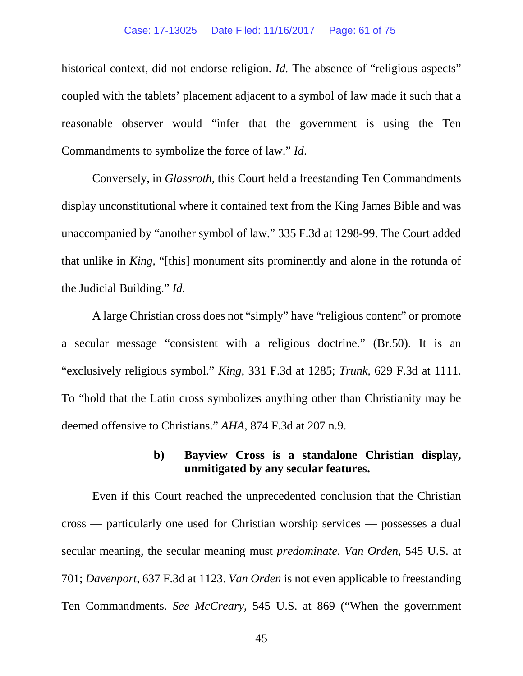#### Case: 17-13025 Date Filed: 11/16/2017 Page: 61 of 75

historical context, did not endorse religion. *Id*. The absence of "religious aspects" coupled with the tablets' placement adjacent to a symbol of law made it such that a reasonable observer would "infer that the government is using the Ten Commandments to symbolize the force of law." *Id*.

Conversely, in *Glassroth*, this Court held a freestanding Ten Commandments display unconstitutional where it contained text from the King James Bible and was unaccompanied by "another symbol of law." 335 F.3d at 1298-99. The Court added that unlike in *King*, "[this] monument sits prominently and alone in the rotunda of the Judicial Building." *Id.*

A large Christian cross does not "simply" have "religious content" or promote a secular message "consistent with a religious doctrine." (Br.50). It is an "exclusively religious symbol." *King*, 331 F.3d at 1285; *Trunk*, 629 F.3d at 1111. To "hold that the Latin cross symbolizes anything other than Christianity may be deemed offensive to Christians." *AHA*, 874 F.3d at 207 n.9.

## **b) Bayview Cross is a standalone Christian display, unmitigated by any secular features.**

Even if this Court reached the unprecedented conclusion that the Christian cross — particularly one used for Christian worship services — possesses a dual secular meaning, the secular meaning must *predominate*. *Van Orden*, 545 U.S. at 701; *Davenport*, 637 F.3d at 1123. *Van Orden* is not even applicable to freestanding Ten Commandments. *See McCreary*, 545 U.S. at 869 ("When the government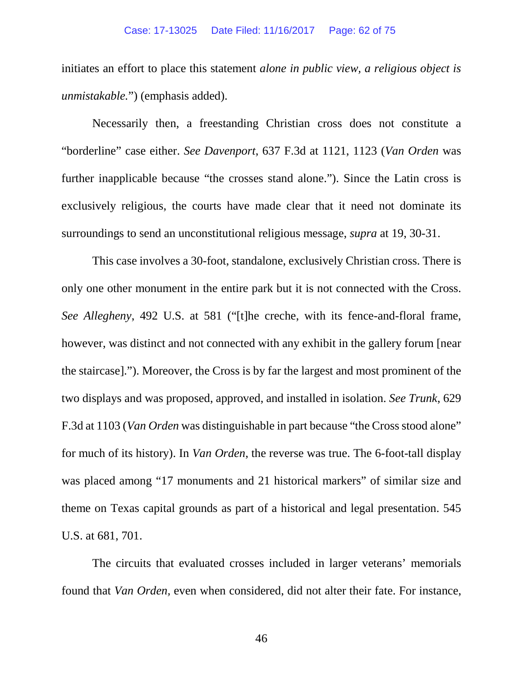initiates an effort to place this statement *alone in public view, a religious object is unmistakable.*") (emphasis added).

Necessarily then, a freestanding Christian cross does not constitute a "borderline" case either. *See Davenport*, 637 F.3d at 1121, 1123 (*Van Orden* was further inapplicable because "the crosses stand alone."). Since the Latin cross is exclusively religious, the courts have made clear that it need not dominate its surroundings to send an unconstitutional religious message, *supra* at 19, 30-31.

This case involves a 30-foot, standalone, exclusively Christian cross. There is only one other monument in the entire park but it is not connected with the Cross. *See Allegheny*, 492 U.S. at 581 ("[t]he creche, with its fence-and-floral frame, however, was distinct and not connected with any exhibit in the gallery forum [near the staircase]."). Moreover, the Cross is by far the largest and most prominent of the two displays and was proposed, approved, and installed in isolation. *See Trunk*, 629 F.3d at 1103 (*Van Orden* was distinguishable in part because "the Cross stood alone" for much of its history). In *Van Orden*, the reverse was true. The 6-foot-tall display was placed among "17 monuments and 21 historical markers" of similar size and theme on Texas capital grounds as part of a historical and legal presentation. 545 U.S. at 681, 701.

The circuits that evaluated crosses included in larger veterans' memorials found that *Van Orden,* even when considered, did not alter their fate. For instance,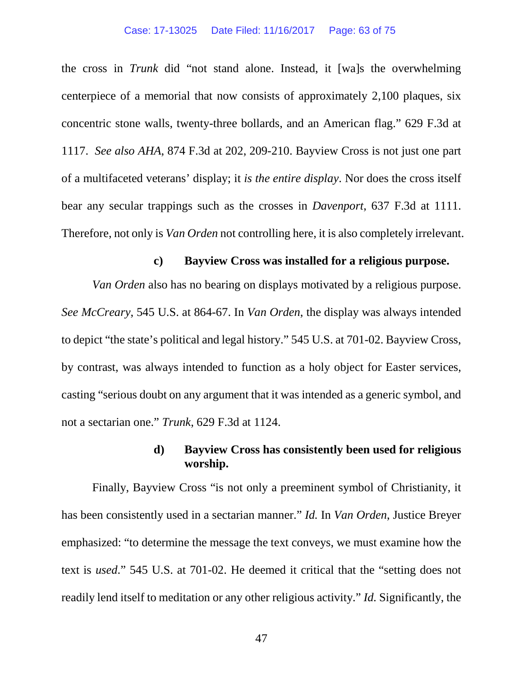#### Case: 17-13025 Date Filed: 11/16/2017 Page: 63 of 75

the cross in *Trunk* did "not stand alone. Instead, it [wa]s the overwhelming centerpiece of a memorial that now consists of approximately 2,100 plaques, six concentric stone walls, twenty-three bollards, and an American flag." 629 F.3d at 1117. *See also AHA*, 874 F.3d at 202, 209-210. Bayview Cross is not just one part of a multifaceted veterans' display; it *is the entire display*. Nor does the cross itself bear any secular trappings such as the crosses in *Davenport*, 637 F.3d at 1111. Therefore, not only is *Van Orden* not controlling here, it is also completely irrelevant.

### **c) Bayview Cross was installed for a religious purpose.**

*Van Orden* also has no bearing on displays motivated by a religious purpose. *See McCreary*, 545 U.S. at 864-67. In *Van Orden*, the display was always intended to depict "the state's political and legal history." 545 U.S. at 701-02. Bayview Cross, by contrast, was always intended to function as a holy object for Easter services, casting "serious doubt on any argument that it was intended as a generic symbol, and not a sectarian one." *Trunk*, 629 F.3d at 1124.

## **d) Bayview Cross has consistently been used for religious worship.**

Finally, Bayview Cross "is not only a preeminent symbol of Christianity, it has been consistently used in a sectarian manner." *Id.* In *Van Orden*, Justice Breyer emphasized: "to determine the message the text conveys, we must examine how the text is *used*." 545 U.S. at 701-02. He deemed it critical that the "setting does not readily lend itself to meditation or any other religious activity." *Id.* Significantly, the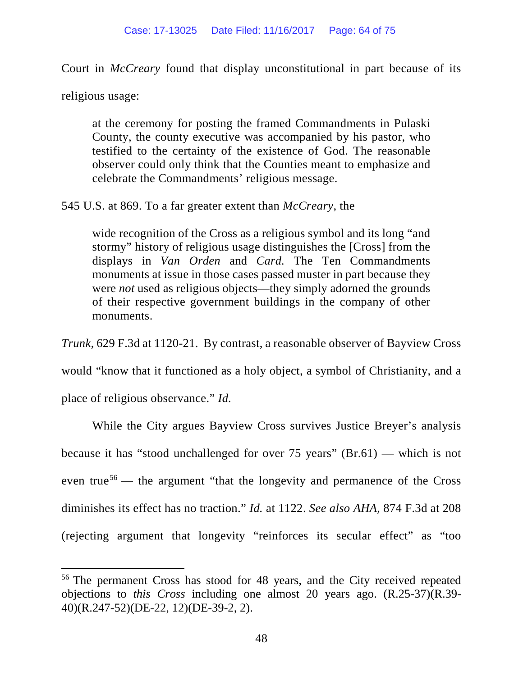Court in *McCreary* found that display unconstitutional in part because of its

religious usage:

at the ceremony for posting the framed Commandments in Pulaski County, the county executive was accompanied by his pastor, who testified to the certainty of the existence of God. The reasonable observer could only think that the Counties meant to emphasize and celebrate the Commandments' religious message.

545 U.S. at 869. To a far greater extent than *McCreary*, the

wide recognition of the Cross as a religious symbol and its long "and stormy" history of religious usage distinguishes the [Cross] from the displays in *Van Orden* and *Card.* The Ten Commandments monuments at issue in those cases passed muster in part because they were *not* used as religious objects—they simply adorned the grounds of their respective government buildings in the company of other monuments.

*Trunk*, 629 F.3d at 1120-21. By contrast, a reasonable observer of Bayview Cross

would "know that it functioned as a holy object, a symbol of Christianity, and a

place of religious observance." *Id.*

While the City argues Bayview Cross survives Justice Breyer's analysis because it has "stood unchallenged for over 75 years" (Br.61) — which is not even true<sup>[56](#page-63-0)</sup> — the argument "that the longevity and permanence of the Cross" diminishes its effect has no traction." *Id.* at 1122. *See also AHA*, 874 F.3d at 208 (rejecting argument that longevity "reinforces its secular effect" as "too

<span id="page-63-0"></span> <sup>56</sup> The permanent Cross has stood for 48 years, and the City received repeated objections to *this Cross* including one almost 20 years ago. (R.25-37)(R.39- 40)(R.247-52)(DE-22, 12)(DE-39-2, 2).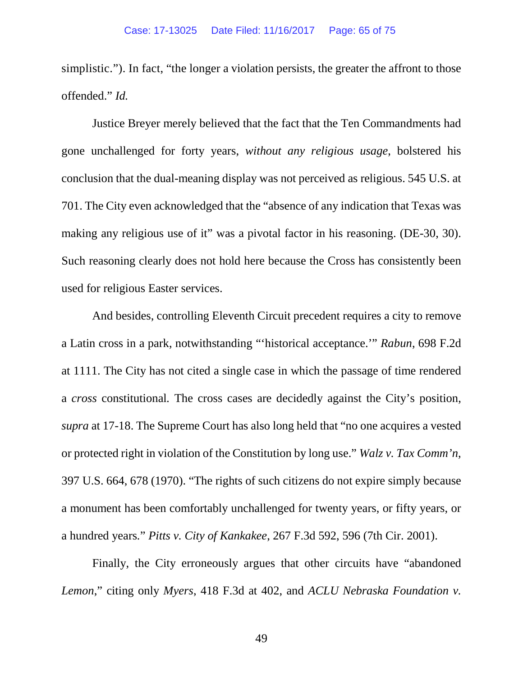simplistic."). In fact, "the longer a violation persists, the greater the affront to those offended." *Id.*

Justice Breyer merely believed that the fact that the Ten Commandments had gone unchallenged for forty years, *without any religious usage*, bolstered his conclusion that the dual-meaning display was not perceived as religious. 545 U.S. at 701. The City even acknowledged that the "absence of any indication that Texas was making any religious use of it" was a pivotal factor in his reasoning. (DE-30, 30). Such reasoning clearly does not hold here because the Cross has consistently been used for religious Easter services.

And besides, controlling Eleventh Circuit precedent requires a city to remove a Latin cross in a park, notwithstanding "'historical acceptance.'" *Rabun*, 698 F.2d at 1111. The City has not cited a single case in which the passage of time rendered a *cross* constitutional*.* The cross cases are decidedly against the City's position, *supra* at 17-18. The Supreme Court has also long held that "no one acquires a vested or protected right in violation of the Constitution by long use." *Walz v. Tax Comm'n*, 397 U.S. 664, 678 (1970). "The rights of such citizens do not expire simply because a monument has been comfortably unchallenged for twenty years, or fifty years, or a hundred years*.*" *Pitts v. City of Kankakee*, 267 F.3d 592, 596 (7th Cir. 2001).

Finally, the City erroneously argues that other circuits have "abandoned *Lemon*," citing only *Myers*, 418 F.3d at 402, and *ACLU Nebraska Foundation v.*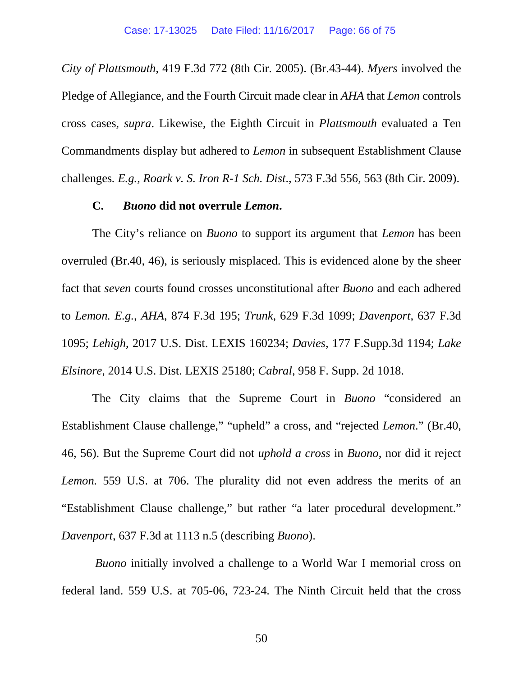*City of Plattsmouth*, 419 F.3d 772 (8th Cir. 2005). (Br.43-44). *Myers* involved the Pledge of Allegiance, and the Fourth Circuit made clear in *AHA* that *Lemon* controls cross cases, *supra*. Likewise, the Eighth Circuit in *Plattsmouth* evaluated a Ten Commandments display but adhered to *Lemon* in subsequent Establishment Clause challenges*. E.g.*, *Roark v. S. Iron R-1 Sch. Dist*., 573 F.3d 556, 563 (8th Cir. 2009).

### **C.** *Buono* **did not overrule** *Lemon***.**

The City's reliance on *Buono* to support its argument that *Lemon* has been overruled (Br.40, 46), is seriously misplaced. This is evidenced alone by the sheer fact that *seven* courts found crosses unconstitutional after *Buono* and each adhered to *Lemon. E.g.*, *AHA*, 874 F.3d 195; *Trunk*, 629 F.3d 1099; *Davenport*, 637 F.3d 1095; *Lehigh*, 2017 U.S. Dist. LEXIS 160234; *Davies*, 177 F.Supp.3d 1194; *Lake Elsinore*, 2014 U.S. Dist. LEXIS 25180; *Cabral*, 958 F. Supp. 2d 1018.

The City claims that the Supreme Court in *Buono* "considered an Establishment Clause challenge," "upheld" a cross, and "rejected *Lemon*." (Br.40, 46, 56). But the Supreme Court did not *uphold a cross* in *Buono*, nor did it reject *Lemon.* 559 U.S. at 706. The plurality did not even address the merits of an "Establishment Clause challenge," but rather "a later procedural development." *Davenport*, 637 F.3d at 1113 n.5 (describing *Buono*).

*Buono* initially involved a challenge to a World War I memorial cross on federal land. 559 U.S. at 705-06, 723-24. The Ninth Circuit held that the cross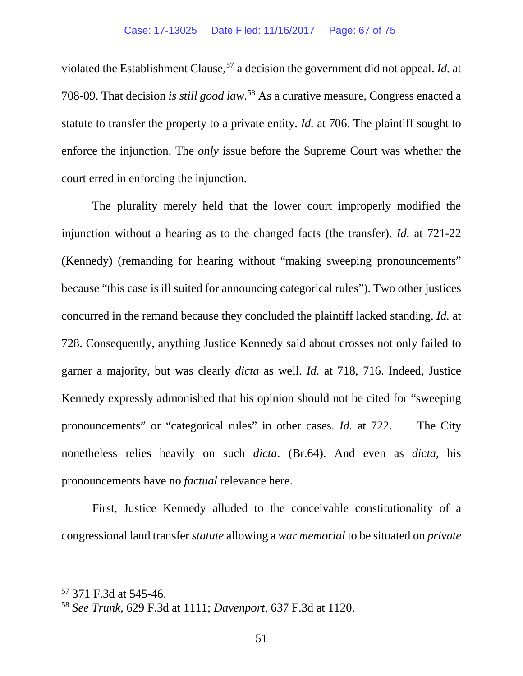violated the Establishment Clause,<sup>[57](#page-66-0)</sup> a decision the government did not appeal. *Id.* at 708-09. That decision *is still good law*. [58](#page-66-1) As a curative measure, Congress enacted a statute to transfer the property to a private entity. *Id.* at 706. The plaintiff sought to enforce the injunction. The *only* issue before the Supreme Court was whether the court erred in enforcing the injunction.

The plurality merely held that the lower court improperly modified the injunction without a hearing as to the changed facts (the transfer). *Id.* at 721-22 (Kennedy) (remanding for hearing without "making sweeping pronouncements" because "this case is ill suited for announcing categorical rules"). Two other justices concurred in the remand because they concluded the plaintiff lacked standing. *Id.* at 728. Consequently, anything Justice Kennedy said about crosses not only failed to garner a majority, but was clearly *dicta* as well. *Id.* at 718, 716. Indeed, Justice Kennedy expressly admonished that his opinion should not be cited for "sweeping pronouncements" or "categorical rules" in other cases. *Id.* at 722. The City nonetheless relies heavily on such *dicta*. (Br.64). And even as *dicta*, his pronouncements have no *factual* relevance here.

First, Justice Kennedy alluded to the conceivable constitutionality of a congressional land transfer *statute* allowing a *war memorial* to be situated on *private*

<span id="page-66-0"></span> <sup>57</sup> 371 F.3d at 545-46.

<span id="page-66-1"></span><sup>58</sup> *See Trunk,* 629 F.3d at 1111; *Davenport*, 637 F.3d at 1120.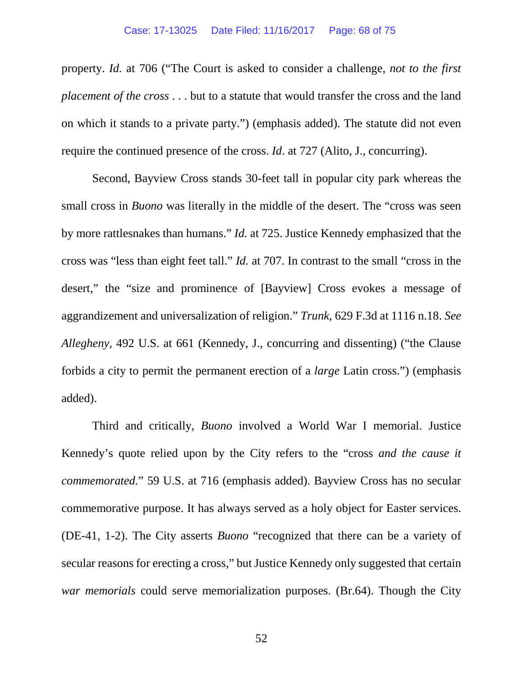property. *Id.* at 706 ("The Court is asked to consider a challenge, *not to the first placement of the cross* . . . but to a statute that would transfer the cross and the land on which it stands to a private party.") (emphasis added). The statute did not even require the continued presence of the cross. *Id*. at 727 (Alito, J., concurring).

Second, Bayview Cross stands 30-feet tall in popular city park whereas the small cross in *Buono* was literally in the middle of the desert. The "cross was seen by more rattlesnakes than humans." *Id.* at 725. Justice Kennedy emphasized that the cross was "less than eight feet tall." *Id.* at 707. In contrast to the small "cross in the desert," the "size and prominence of [Bayview] Cross evokes a message of aggrandizement and universalization of religion." *Trunk*, 629 F.3d at 1116 n.18. *See Allegheny*, 492 U.S. at 661 (Kennedy, J., concurring and dissenting) ("the Clause forbids a city to permit the permanent erection of a *large* Latin cross.") (emphasis added).

Third and critically, *Buono* involved a World War I memorial. Justice Kennedy's quote relied upon by the City refers to the "cross *and the cause it commemorated*." 59 U.S. at 716 (emphasis added). Bayview Cross has no secular commemorative purpose. It has always served as a holy object for Easter services. (DE-41, 1-2). The City asserts *Buono* "recognized that there can be a variety of secular reasons for erecting a cross," but Justice Kennedy only suggested that certain *war memorials* could serve memorialization purposes. (Br.64). Though the City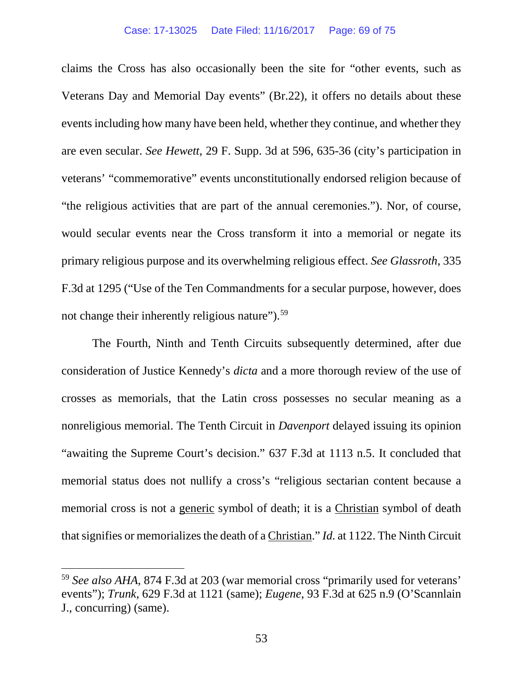#### Case: 17-13025 Date Filed: 11/16/2017 Page: 69 of 75

claims the Cross has also occasionally been the site for "other events, such as Veterans Day and Memorial Day events" (Br.22), it offers no details about these events including how many have been held, whether they continue, and whether they are even secular. *See Hewett*, 29 F. Supp. 3d at 596, 635-36 (city's participation in veterans' "commemorative" events unconstitutionally endorsed religion because of "the religious activities that are part of the annual ceremonies."). Nor, of course, would secular events near the Cross transform it into a memorial or negate its primary religious purpose and its overwhelming religious effect. *See Glassroth*, 335 F.3d at 1295 ("Use of the Ten Commandments for a secular purpose, however, does not change their inherently religious nature").<sup>[59](#page-68-0)</sup>

The Fourth, Ninth and Tenth Circuits subsequently determined, after due consideration of Justice Kennedy's *dicta* and a more thorough review of the use of crosses as memorials, that the Latin cross possesses no secular meaning as a nonreligious memorial. The Tenth Circuit in *Davenport* delayed issuing its opinion "awaiting the Supreme Court's decision." 637 F.3d at 1113 n.5. It concluded that memorial status does not nullify a cross's "religious sectarian content because a memorial cross is not a generic symbol of death; it is a Christian symbol of death that signifies or memorializes the death of a Christian." *Id.* at 1122. The Ninth Circuit

<span id="page-68-0"></span> <sup>59</sup> *See also AHA*, 874 F.3d at 203 (war memorial cross "primarily used for veterans' events"); *Trunk*, 629 F.3d at 1121 (same); *Eugene*, 93 F.3d at 625 n.9 (O'Scannlain J., concurring) (same).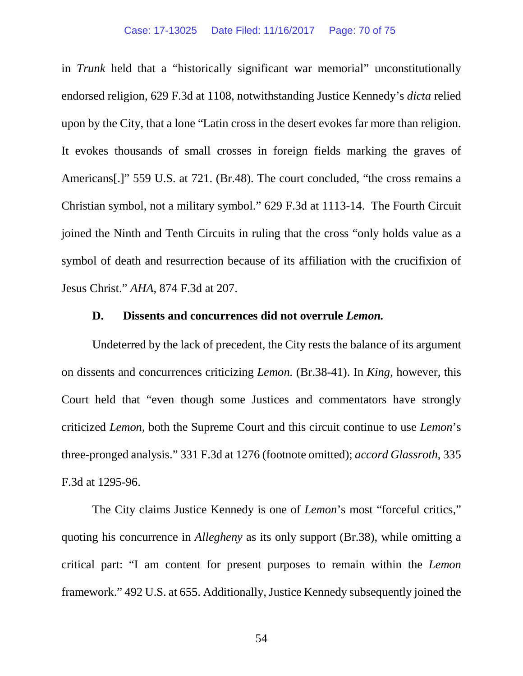#### Case: 17-13025 Date Filed: 11/16/2017 Page: 70 of 75

in *Trunk* held that a "historically significant war memorial" unconstitutionally endorsed religion, 629 F.3d at 1108, notwithstanding Justice Kennedy's *dicta* relied upon by the City, that a lone "Latin cross in the desert evokes far more than religion. It evokes thousands of small crosses in foreign fields marking the graves of Americans[.]" 559 U.S. at 721. (Br.48). The court concluded, "the cross remains a Christian symbol, not a military symbol." 629 F.3d at 1113-14. The Fourth Circuit joined the Ninth and Tenth Circuits in ruling that the cross "only holds value as a symbol of death and resurrection because of its affiliation with the crucifixion of Jesus Christ." *AHA*, 874 F.3d at 207.

### **D. Dissents and concurrences did not overrule** *Lemon.*

Undeterred by the lack of precedent, the City rests the balance of its argument on dissents and concurrences criticizing *Lemon.* (Br.38-41). In *King*, however, this Court held that "even though some Justices and commentators have strongly criticized *Lemon*, both the Supreme Court and this circuit continue to use *Lemon*'s three-pronged analysis." 331 F.3d at 1276 (footnote omitted); *accord Glassroth*, 335 F.3d at 1295-96.

The City claims Justice Kennedy is one of *Lemon*'s most "forceful critics," quoting his concurrence in *Allegheny* as its only support (Br.38), while omitting a critical part: "I am content for present purposes to remain within the *Lemon* framework." 492 U.S. at 655. Additionally, Justice Kennedy subsequently joined the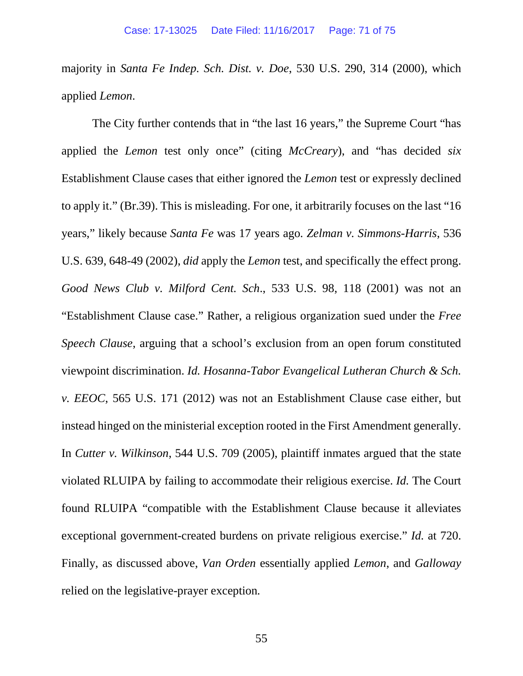majority in *Santa Fe Indep. Sch. Dist. v. Doe*, 530 U.S. 290, 314 (2000), which applied *Lemon*.

The City further contends that in "the last 16 years," the Supreme Court "has applied the *Lemon* test only once" (citing *McCreary*), and "has decided *six*  Establishment Clause cases that either ignored the *Lemon* test or expressly declined to apply it." (Br.39). This is misleading. For one, it arbitrarily focuses on the last "16 years," likely because *Santa Fe* was 17 years ago*. Zelman v. Simmons-Harris*, 536 U.S. 639, 648-49 (2002), *did* apply the *Lemon* test, and specifically the effect prong. *Good News Club v. Milford Cent. Sch*., 533 U.S. 98, 118 (2001) was not an "Establishment Clause case." Rather, a religious organization sued under the *Free Speech Clause*, arguing that a school's exclusion from an open forum constituted viewpoint discrimination. *Id. Hosanna-Tabor Evangelical Lutheran Church & Sch. v. EEOC*, 565 U.S. 171 (2012) was not an Establishment Clause case either, but instead hinged on the ministerial exception rooted in the First Amendment generally. In *Cutter v. Wilkinson*, 544 U.S. 709 (2005), plaintiff inmates argued that the state violated RLUIPA by failing to accommodate their religious exercise. *Id.* The Court found RLUIPA "compatible with the Establishment Clause because it alleviates exceptional government-created burdens on private religious exercise." *Id.* at 720. Finally, as discussed above, *Van Orden* essentially applied *Lemon*, and *Galloway*  relied on the legislative-prayer exception*.*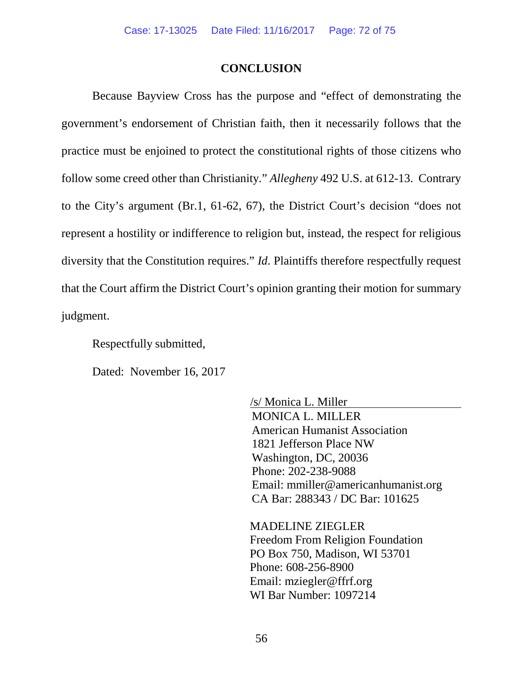### **CONCLUSION**

Because Bayview Cross has the purpose and "effect of demonstrating the government's endorsement of Christian faith, then it necessarily follows that the practice must be enjoined to protect the constitutional rights of those citizens who follow some creed other than Christianity." *Allegheny* 492 U.S. at 612-13. Contrary to the City's argument (Br.1, 61-62, 67), the District Court's decision "does not represent a hostility or indifference to religion but, instead, the respect for religious diversity that the Constitution requires." *Id*. Plaintiffs therefore respectfully request that the Court affirm the District Court's opinion granting their motion for summary judgment.

Respectfully submitted,

Dated: November 16, 2017

/s/ Monica L. Miller MONICA L. MILLER American Humanist Association 1821 Jefferson Place NW Washington, DC, 20036 Phone: 202-238-9088 Email: mmiller@americanhumanist.org CA Bar: 288343 / DC Bar: 101625

MADELINE ZIEGLER Freedom From Religion Foundation PO Box 750, Madison, WI 53701 Phone: 608-256-8900 Email: mziegler@ffrf.org WI Bar Number: 1097214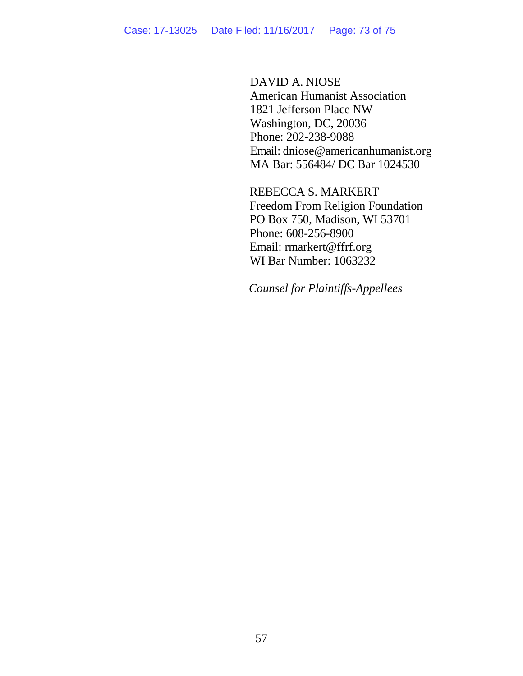DAVID A. NIOSE American Humanist Association 1821 Jefferson Place NW Washington, DC, 20036 Phone: 202-238-9088 Email: dniose@americanhumanist.org MA Bar: 556484/ DC Bar 1024530

REBECCA S. MARKERT Freedom From Religion Foundation PO Box 750, Madison, WI 53701 Phone: 608-256-8900 Email: rmarkert@ffrf.org WI Bar Number: 1063232

*Counsel for Plaintiffs-Appellees*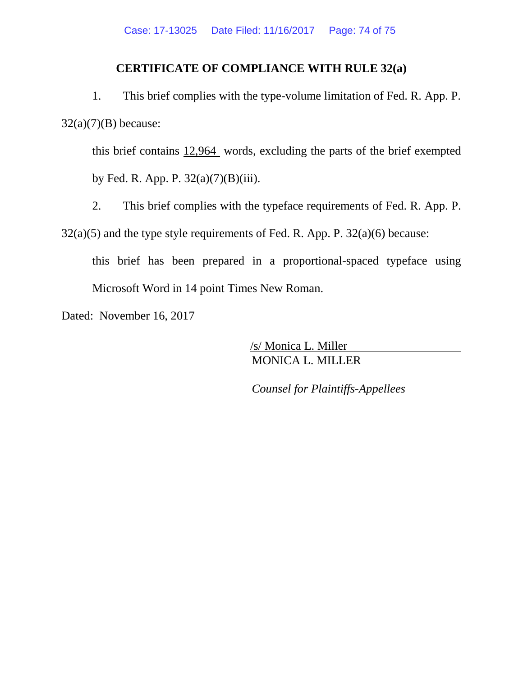## **CERTIFICATE OF COMPLIANCE WITH RULE 32(a)**

1. This brief complies with the type-volume limitation of Fed. R. App. P.  $32(a)(7)(B)$  because:

this brief contains 12,964 words, excluding the parts of the brief exempted by Fed. R. App. P. 32(a)(7)(B)(iii).

2. This brief complies with the typeface requirements of Fed. R. App. P.

 $32(a)(5)$  and the type style requirements of Fed. R. App. P.  $32(a)(6)$  because:

this brief has been prepared in a proportional-spaced typeface using Microsoft Word in 14 point Times New Roman.

Dated: November 16, 2017

/s/ Monica L. Miller MONICA L. MILLER

*Counsel for Plaintiffs-Appellees*